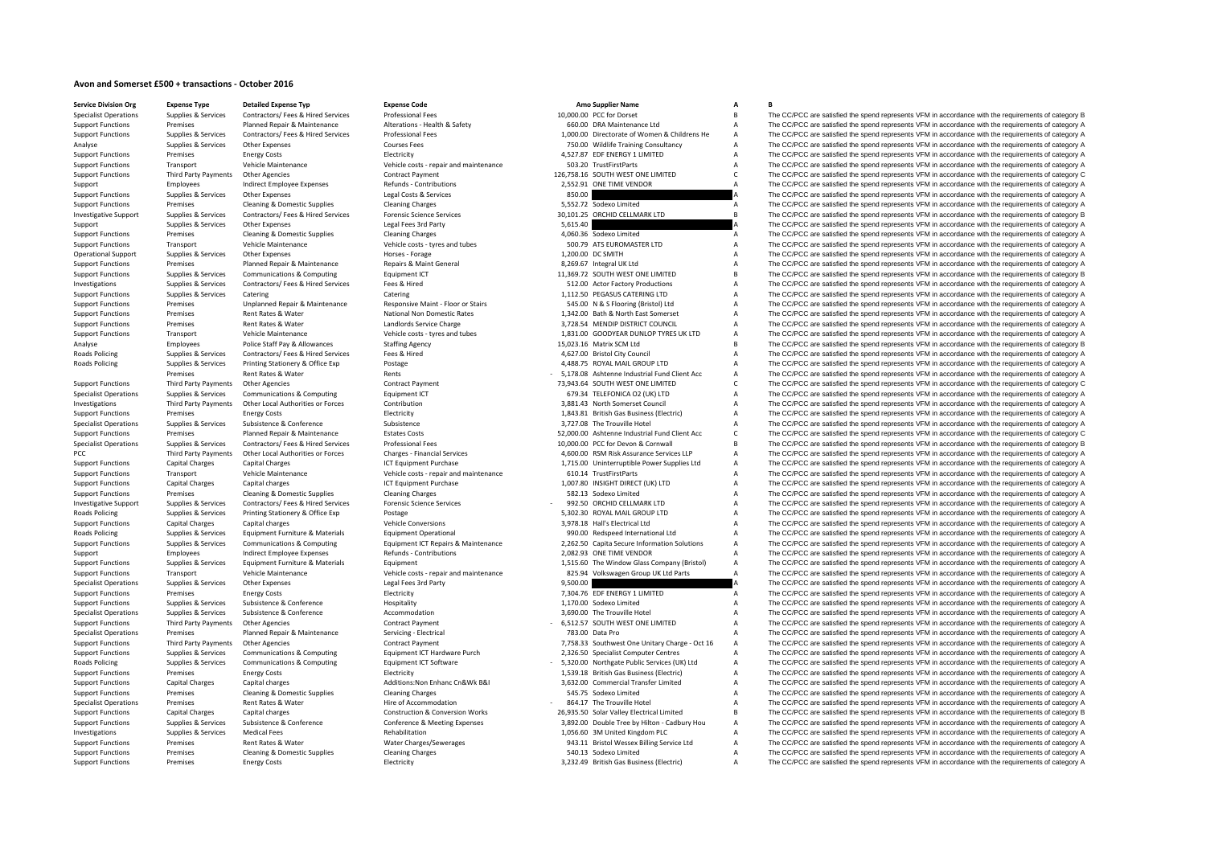## **Avon and Somerset £500 <sup>+</sup> transactions ‐ October 2016**

Premises

**Service DivisionRoads Policing Roads Policing PCC** Third Party Payments **Roads Policing Roads Policing Roads Policing** 

**Corvice Division Org**<br> **Conduct Area <b>Conducts Conduct Conduct Area Conducts Conduct Conduct Area Code B**<br> **Conduct Conduct Conduct Conduct Conduct Conduct Area Conducts Professional Experiment Conduct Conduct Con** Rates &

| 10,000.00 |                                                                                     |
|-----------|-------------------------------------------------------------------------------------|
|           | 660.00 DRA Maintenance Ltd                                                          |
|           | 1,000.00 Directorate of Women & Childrens He                                        |
|           | 750.00 Wildlife Training Consultancy                                                |
|           | 4,527.87 EDF ENERGY 1 LIMITED                                                       |
|           | 503.20 TrustFirstParts                                                              |
|           | 126,758.16 SOUTH WEST ONE LIMITED                                                   |
|           | 2,552.91 ONE TIME VENDOR                                                            |
| 850.00    |                                                                                     |
|           | 5,552.72 Sodexo Limited                                                             |
|           | 30,101.25 ORCHID CELLMARK LTD                                                       |
|           |                                                                                     |
| 5,615.40  |                                                                                     |
|           | 4,060.36 Sodexo Limited                                                             |
|           | 500.79 ATS EUROMASTER LTD                                                           |
|           | 1,200.00 DC SMITH                                                                   |
|           | 8,269.67 Integral UK Ltd                                                            |
|           | 11,369.72 SOUTH WEST ONE LIMITED                                                    |
|           | 512.00 Actor Factory Productions                                                    |
|           | 1,112.50 PEGASUS CATERING LTD                                                       |
|           | 545.00 N & S Flooring (Bristol) Ltd                                                 |
|           | 1,342.00 Bath & North East Somerset                                                 |
|           | 3,728.54 MENDIP DISTRICT COUNCIL                                                    |
|           | 1,831.00 GOODYEAR DUNLOP TYRES UK LTD                                               |
|           | 15,023.16 Matrix SCM Ltd                                                            |
|           | 4,627.00 Bristol City Council                                                       |
|           | 4,488.75 ROYAL MAIL GROUP LTD                                                       |
|           | 5,178.08 Ashtenne Industrial Fund Client Acc                                        |
|           | 73,943.64 SOUTH WEST ONE LIMITED                                                    |
|           | 679.34 TELEFONICA O2 (UK) LTD                                                       |
|           | 3,881.43 North Somerset Council                                                     |
|           | 1,843.81 British Gas Business (Electric)                                            |
|           | 3,727.08 The Trouville Hotel                                                        |
|           |                                                                                     |
|           | 52,000.00 Ashtenne Industrial Fund Client Acc<br>10,000.00 PCC for Devon & Cornwall |
|           |                                                                                     |
|           | 4,600.00 RSM Risk Assurance Services LLP                                            |
|           | 1,715.00 Uninterruptible Power Supplies Ltd                                         |
|           | 610.14 TrustFirstParts                                                              |
|           | 1,007.80 INSIGHT DIRECT (UK) LTD                                                    |
|           | 582.13 Sodexo Limited                                                               |
|           | 992.50 ORCHID CELLMARK LTD                                                          |
|           | 5,302.30 ROYAL MAIL GROUP LTD                                                       |
|           | 3,978.18 Hall's Electrical Ltd                                                      |
|           | 990.00 Redspeed International Ltd                                                   |
|           | 2,262.50 Capita Secure Information Solutions                                        |
|           | 2,082.93 ONE TIME VENDOR                                                            |
|           | 1,515.60 The Window Glass Company (Bristol)                                         |
|           | 825.94 Volkswagen Group UK Ltd Parts                                                |
| 9,500.00  |                                                                                     |
|           | 7,304.76 EDF ENERGY 1 LIMITED                                                       |
|           | 1,170.00 Sodexo Limited                                                             |
|           | 3,690.00 The Trouville Hotel                                                        |
|           | 6,512.57 SOUTH WEST ONE LIMITED                                                     |
|           | 783.00 Data Pro                                                                     |
|           | 7,758.33 Southwest One Unitary Charge - Oct 16                                      |
|           | 2,326.50 Specialist Computer Centres                                                |
|           | 5,320.00 Northgate Public Services (UK) Ltd                                         |
|           | 1,539.18 British Gas Business (Electric)                                            |
|           | 3,632.00 Commercial Transfer Limited                                                |
|           | 545.75 Sodexo Limited                                                               |
|           | 864.17 The Trouville Hotel                                                          |
|           | 26,935.50 Solar Valley Electrical Limited                                           |
|           | 3,892.00 Double Tree by Hilton - Cadbury Hou                                        |
|           |                                                                                     |
|           |                                                                                     |
|           | 1,056.60 3M United Kingdom PLC                                                      |
|           | 943.11 Bristol Wessex Billing Service Ltd<br>540.13 Sodexo Limited                  |

The CC/PCC are satisfied the spend represents VFM in accordance with the requirements of category B Support Functions Premises Planned Repair & Maintenance Alterations - Health & Safety 660.00 DRA Maintenance Ltd A The CC/PCC are satisfied the spend represents VFM in accordance with the requirements of category A Support Support Functions Supplies & Services Contractors/ Fees & Hired Services Professional Fees (Support of the COMPO) Directorate of Women & Childrens He A The CC/PCC are satisfied the spend represents VFM in accordance with t Analyse Supplies & Services Other Expenses Courses Fees Courses Fees 750.00 Wildlife Training Consultancy A The CC/PCC are satisfied the spend represents VFM in accordance with the requirements of category A Support Functions Premises Energy Costs Energy Costs Electricity Electricity and the Support A The CC/PCC are satisfied the spend represents VFM in accordance with the requirements of category A Support Functions Transport Vehicle Maintenance Vehicle Costs - repair and maintenance 503.20 TrustFirstParts A The CC/PCC are satisfied the spend represents VFM in accordance with the requirements of category A Support Fu Support Functions Third Party Payments Other Agencies Contract Payment 126,758.16 SOUTH WEST ONE LIMITED C The CC/PCC are satisfied the spend represents VFM in accordance with the requirements of category C Support Employees Indirect Employee Expenses Refunds - Contributions 2,552.91 ONE TIME VENDOR A The CC/PCC are satisfied the spend represents VFM in accordance with the requirements of category A Support Functions Supplies & Services Other Expenses Legal Costs & Services 850.00 850.00 A The CC/PCC are satisfied the spend represents VFM in accordance with the requirements of category A Support Functions Support Cate Support Functions Premises Cleaning & Domestic Supplies Cleaning Charges Cleaning Charges Cleaning Charges S,552.72 Sodexo Limited A The CC/PCC are satisfied the spend represents VFM in accordance with the requirements of Investigative Cumples & Seniros Contractor (Fees & Hired Seniros Enrancic Crience Seniros Contractor Present Contractor Contractor Contractor Contractor Contractor Contractor Contractor Contractor Contractor Contractor Con Support Supplies & Services Other Expenses Legal Fees 3rd Party Support Support Support A The CC/PCC are satisfied the spend represents VFM in accordance with the requirements of category A Support Functions Premises Cleaning & Domestic Supplies Cleaning Charges Cleaning Charges Cleaning Charges Cleaning Charges Cleaning Charges A 4,060.36 Sodexo Limited A The CC/PCC are satisfied the spend represents VFM in Support Functions Transport Vehicle Maintenance Vehicle costs - tyres and tubes 500.79 ATS EUROMASTER LTD A The CC/PCC are satisfied the spend represents VFM in accordance with the requirements of category A Decree Categor Operational Support Support Support Support Support Support Support Support Support Support Support Support Support Support Support Support Support Support Support Support Support Support Support Support Support Support Su Support Functions Premises Planned Repair & Maintenance Repairs & Maint General 8,269.67 Integral UK Ltd A The CC/PCC are satisfied the spend represents VFM in accordance with the requirements of category A Support Functio Supplies & Services Communications & Computing Equipment ICT 11,369.72 SOUTH WEST ONE LIMITED B The CC/PCC are satisfied the spend represents VFM in accordance with the requirements of category B<br>Support of the spend the s Investigations Supplies & Services Contractors/ Fees & Hired Services Fees & Hired 512.00 Actor Factory Productions A The CC/PCC are satisfied the spend represents VFM in accordance with the requirements of category A Support Functions Supplies & Services Catering Catering Catering Catering Catering Catering Catering Catering Catering Catering Catering Catering Catering Catering Support Functions Support Functions Support Premises Unpla Support Functions Premises Unplanned Repair & Maintenance Responsive Maint - Floor or Stairs 545.00 N & S Flooring (Bristol) Ltd A The CC/PCC are satisfied the spend represents VFM in accordance with the requirements of ca Support Functions Premises Rent Rates Rent Rates Rent Rates National Non Domestic Rates 1,342.00 Bath & North East Somerset A The CC/PCC are satisfied the spend represents VFM in accordance with the requirements of categor Support Functions Premises Rent Rates & Water Landlords Service Charge 3,728.54 MENDIP DISTRICT COUNCIL A The CC/PCC are satisfied the spend represents VFM in accordance with the requirements of category A Support Functions Transport Vehicle Maintenance Vehicle Costs - tyres and tubes 1,831.00 GOODYEAR DUNLOP TYRES UK LTD A The CC/PCC are satisfied the spend represents VFM in accordance with the requirements of category A<br>An Analyses Police Staff Pay & Allowances Staffing Agency Staffing Agency 15,023.16 Matrix SCM Ltd B The CC/PCC are satisfied the spend represents VFM in accordance with the requirements of category B analyses of category B a Policing Supplies & Services Contractors/ Fees & Hired Services Fees & Hired 4,627.00 Bristol City Council <sup>A</sup> The CC/PCC are satisfied the spend represents VFM in accordance with the requirements of category A Supplies & Services Printing Stationery & Office Exp Postage Printing Printing State and Printing Stategory A 4,488.75 ROYAL MAIL GROUP LTD A The CC/PCC are satisfied the spend represents VFM in accordance with the require Rents Rents Fund Client Acc - 5,178.08 Ashtenne Industrial Fund Client Acc - A The CC/PCC are satisfied the spend represents VFM in accordance with the requirements of category A<br>Other Agencies - Contract Payment - 73,943. Support Functions Third Party Payments Other Agencies Contract Payment Contract Payment 73,943.64 SOUTH WEST ONE LIMITED C The CC/PCC are satisfied the spend represents VFM in accordance with the requirements of category C Specialist Operations Supplies & Services Communications & Computing Equipment ICT 679.34 TELEFONICA O2 (UK) LTD A The CC/PCC are satisfied the spend represents VFM in accordance with the requirements of category A Investigations Third Party Payments Other Local Authorities or Forces Contribution Southon 3,881.43 North Somerset Council A The CC/PCC are satisfied the spend represents VFM in accordance with the requirements of category Support Functions Premises Energy Costs Electricity Electricity and the second and the spend represents VFM in accordance with the requirements of category A The CC/PCC are satisfied the spend represents VFM in accordance Specialist Operations Supplies & Services Subsistence Subsistence Subsistence Subsistence Subsistence Subsistence Subsistence Subsistence Subsistence Subsistence Subsistence Subsistence Subsistence Subsistence Subsistence Support Functions Premises Planned Repair & Maintenance Estates Costs 52,000.00 Ashtenne Industrial Fund Client Acc C The CC/PCC are satisfied the spend represents VFM in accordance with the requirements of category C Specialist Operations Supplies & Services Contractors/ Fees & Hired Services Professional Fees Professional Fees Professional Fees Supplies and the content of category B. The CC/PCC are satisfied the spend represents VFM i Party Payments Other Local Authorities or Forces Charges - Financial Services Marges 1996 and 4,600.00 RSM Risk Assurance Services LLP A The CC/PCC are satisfied the spend represents VFM in accordance with the requirements Support Functions Capital Charges Capital Charges ICT Equipment Purchase 1,715.00 Uninterruptible Power Supplies Ltd A The CC/PCC are satisfied the spend represents VFM in accordance with the requirements of category A Support Functions Transport Vehicle Maintenance vehicle Costs - repair and maintenance 610.14 TrustFirstParts A The CC/PCC are satisfied the spend represents VFM in accordance with the requirements of category A Support Fu Capital charges Capital Charges Capital Charges Capital Charges Capital Charges ICT Equipment Purchase 1,007.80 INSIGHT DIRECT (UK) LTD A The CC/PCC are satisfied the spend represents VFM in accordance with the requirement Support Functions Premises Cleaning & Domestic Supplies Cleaning Charges Cleaning Charges 582.13 Sodexo Limited A The CC/PCC are satisfied the spend represents VFM in accordance with the requirements of category A Investigative Support Support Support Supporters Contractors/ Fees & Hired Services Forensic Science Services Forensic Science Services - 992.50 ORCHID CELLMARK LTD A The CC/PCC are satisfied the spend represents VFM in ac Policing Supplies & Services Printing Stationery & Office Exp Postage Protage Postage 5,302.30 ROYAL MAIL GROUP LTD A The CC/PCC are satisfied the spend represents VFM in accordance with the requirements of category A Vehi A The CC/PCC are satisfied the spend represents VFM in accordance with the requirements of category A Policing Supplies & Services Equipment Furniture & Materials Equipment Operational 990.00 Redspeed International Ltd A The CC/PCC are satisfied the spend represents VFM in accordance with the requirements of category A Support Functions Supplies & Services Communications & Computing Equipment ICT Repairs & Maintenance 2.262.50 Capita Secure Information Solutions A The CC/PCC are satisfied the spend represents VFM in accordance with the r Support Employees Employee Expenses Refunds - Contributions 2,082.93 ONE TIME VENDOR A The CC/PCC are satisfied the spend represents VFM in accordance with the requirements of category A<br>Support Functions Supplies & Servic Equipment example to the Window Glass Company (Bristol) A The CC/PCC are satisfied the spend represents VFM in accordance with the requirements of category A Support Functions Transport Vehicle Maintenance Maintenance Vehicle costs repair and maintenance vehicle costs repair and maintenance and alternation of the SALE of The CC/PCC are satisfied the spend represents VFM in acco A The CC/PCC are satisfied the spend represents VFM in accordance with the requirements of category A Support Functions Premises Energy Costs Energy Costs Electricity Electricity Functions Electricity Functions and the magnitude of the CO/PCC are satisfied the spend represents VFM in accordance with the requirements of cat A The CC/PCC are satisfied the spend represents VFM in accordance with the requirements of category A Specialist Operations Supplies & Services Subsistence Subsistence Accommodation Accommodation 3,690.00 The Trouville Hotel A The CC/PCC are satisfied the spend represents VFM in accordance with the requirements of category A The CC/PCC are satisfied the spend represents VFM in accordance with the requirements of category A Specialist Operations Premises Planned Repair & Maintenance Servicing - Electrical 783.00 Data Pro A The CC/PCC are satisfied the spend represents VFM in accordance with the requirements of category A Support Functions Third Party Payments Other Agencies Contract Payment Contract Payment 7,758.33 Southwest One Unitary Charge - Oct 16 A The CC/PCC are satisfied the spend represents VFM in accordance with the requirements Supplies & Services Communications & Computing Equipment ICT Hardware Purch 2,326.50 Specialist Computer Centres A The CC/PCC are satisfied the spend represents VFM in accordance with the requirements of category A<br>Supplie Supplies & Services Communications & Computing Foundation Fundations Foundation of Category A Current CT Software - 5.320.00 Northeate Public Services (IIK) Ltd A The CC/PCC are satisfied the spend represents VEM in accord Support Functions Premises Energy Costs Energy Costs Electricity Electricity Electricity 1,539.18 British Gas Business (Electricity A The CC/PCC are satisfied the spend represents VFM in accordance with the requirements of Support Functions Capital Charges Capital charges Capital charges Additions:Non Enhanc Cn&Wk B&I 3,632.00 Commercial Transfer Limited A The CC/PCC are satisfied the spend represents VFM in accordance with the requirements Support Functions Premises Cleaning & Domestic Supplies Cleaning Charges Cleaning Charges Cleaning Charges Cleaning Charges Cleaning Charges Support Function A The CC/PCC are satisfied the spend represents VFM in accordanc A The CC/PCC are satisfied the spend represents VFM in accordance with the requirements of category A Support Functions Capital Charges Capital charges Capital charges Capital charges Capital charges Capital charges Capital construction & Construction & Construction & Construction & Construction & Construction & Constructi Support Functions Supplies & Services Subsistence & Conference Conference Meeting Expenses 3,892.00 Double Tree by Hilton - Cadbury Hou a The CC/PCC are satisfied the spend represents VFM in accordance with the requirement A The CC/PCC are satisfied the spend represents VFM in accordance with the requirements of category A Support Functions Premises Rent Rates & Water Water Water Charges/Sewerages 943.11 Bristol Wessex Billing Service Ltd A The CC/PCC are satisfied the spend represents VFM in accordance with the requirements of category A Support Functions Premises Cleaning & Domestic Supplies Cleaning Charges Cleaning Charges Cleaning Charges Cleaning Charges Cleaning Charges Cleaning Charges S40.13 Sodexo Limited A The CC/PCC are satisfied the spend repre Support Functions Premises Energy Costs Electricity Electricity and the Electricity 3,232.49 British Gas Business (Electricity A The CC/PCC are satisfied the spend represents VFM in accordance with the requirements of cate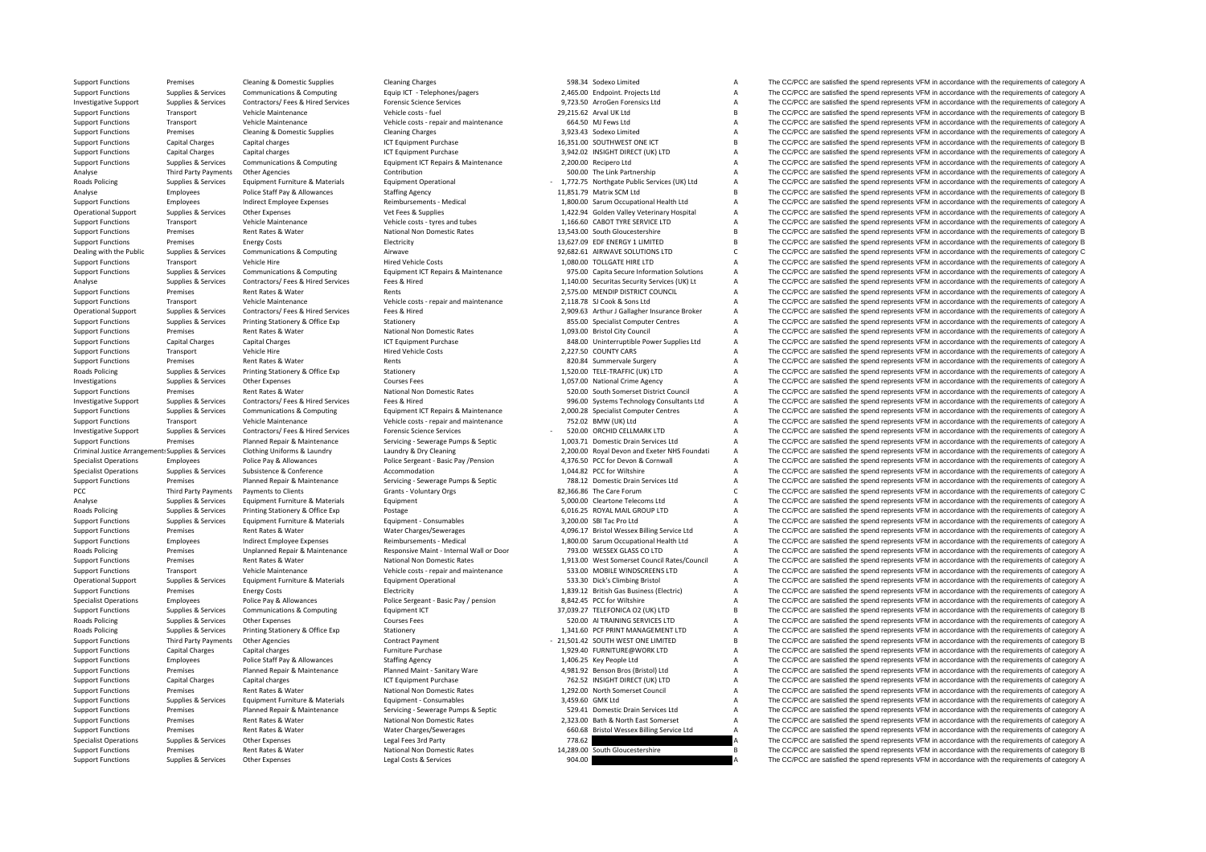**Roads Policing Roads Policing** Criminal JusticePCC Third Party Payments **Roads Policing** Roads**Roads Policing Roads Policing** 

Support Functions Premises Cleaning & Domestic Supplies Cleaning Charges Cleaning Charges Cleaning Charges Cleaning Charges Cleaning Charges Cleaning Charges Cleaning Charges S98.34 Sodexo Limited A The CC/PCC are satisfie Support Functions Supplies & Services Communications & Computing Equip ICT - Telephones/pagers 2,465.00 Endpoint. Projects Ltd A The CC/PCC are satisfied the spend represents VFM in accordance with the requirements of cate Investigative Support Supplies & Services Contractors/ Fees & Hired Services Forensic Science Services 9,723.50 ArroGen Forensics Ltd <sup>A</sup> The CC/PCC are satisfied the spend represents VFM in accordance with the requirements of category A Support Functions Transport Vehicle Maintenance Vehicle Costs - fuel 29,215.62 Arval UK Ltd B The CC/PCC are satisfied the spend represents VFM in accordance with the requirements of category B Vehicle Maintenance Vehicle Transport Vehicle Maintenance Vehicle costs ‐ repair and maintenance 664.50 MJ Fews Ltd A The CC/PCC are satisfied the spend represents VFM in accordance with the requirements of category A Support Functions Premises Cleaning & Domestic Supplies Cleaning Charges Cleaning Charges Cleaning Charges Cleaning Charges Cleaning Charges Cleaning Charges A The CC/PCC are satisfied the spend represents VFM in accordanc Support Functions Capital Charges Capital charges 16,1951 CT Equipment Purchase 16,351.00 SOUTHWEST ONE ICT B The CC/PCC are satisfied the spend represents VFM in accordance with the requirements of category B<br>Support Func Support Functions Capital Charges Capital charges Support The COLOGIC Capital Charges Capital charges Capital charges Support Purchase 3,942.02 INSIGHT DIRECT (UK) LTD A The CC/PCC are satisfied the spend represents VFM in Support Functions Supplies & Services Communications & Computing Equipment ICT Repairs & Maintenance 2,200.00 Recipero Ltd A The CC/PCC are satisfied the spend represents VFM in accordance with the requirements of category Analyse Third Party Payments Other Agencies Contribution Southoution Southout Southout Southout Southout Southout Southout A The CC/PCC are satisfied the spend represents VFM in accordance with the requirements of category Supplies & Services Equipment Furniture & Materials Equipment Operational Equipment Operational 1981 - 1,772.75 Northgate Public Services (UK) Ltd A The CC/PCC are satisfied the spend represents VFM in accordance with the Analyse Employees Police Staff Pay & Allowances Staffing Agency 11,851.79 Matrix SCM Ltd B The CC/PCC are satisfied the spend represents VFM in accordance with the requirements of category B Support Functions Employees Indirect Employee Expenses Reimbursements – Medical 1,800.00 Sarum Occupational Health Ltd A The CC/PCC are satisfied the spend represents VFM in accordance with the requirements of category A V Operational Support Supplies & Services Other Expenses Vet Fees & Supplies Vet Fees & Supplies Vet Fees & Supplies Vet The CAPCC are satisfied the spend represents VFM in accordance with the requirements of category A Supp Support Functions Transport Vehicle Maintenance Vehicle Costs - tyres and tubes 1,166.60 CABOT TYRE SERVICE LTD A The CC/PCC are satisfied the spend represents VFM in accordance with the requirements of category A Support Functions Premises Rent Rates & Water National Non Domestic Rates 13,543.00 South Gloucestershire B The CC/PCC are satisfied the spend represents VFM in accordance with the requirements of category B Support Functions Premises Energy Costs Electricity Electricity Electricity Electricity 13,627.09 EDF ENERGY 1 LIMITED B The CC/PCC are satisfied the spend represents VFM in accordance with the requirements of category B<br>D Dealing with the Public Supplies & Services Communications & Computing Airwave Airwave 92,682.61 AIRWAVE SOLUTIONS LTD C The CC/PCC are satisfied the spend represents VFM in accordance with the requirements of category C<br>S Support Functions Transport Vehicle Hire Hire Hire Hired Vehicle Costs 1,080.00 TOLLGATE HIRE LTD A The CC/PCC are satisfied the spend represents VFM in accordance with the requirements of category A Support Functions Supplies & Services Communications & Computing Equipment ICT Repairs & Maintenance 975.00 Capita Secure Information Solutions A The CC/PCC are satisfied the spend represents VFM in accordance with the req 1,140.00 Securitas Security Services (UK) Lt A The CC/PCC are satisfied the spend represents VFM in accordance with the requirements of category A<br>2.575.00 MENDIR DISTRICT COUNCIL A The CC/PCC are satisfied the spend repre Support Functions Premises Rent Rates & Water Rents Rents Rents Rents Rents Rents Rents 2,575.00 MENDIP DISTRICT COUNCIL A The CC/PCC are satisfied the spend represents VFM in accordance with the requirements of category A Support Functions Transport Vehicle Maintenance Vehicle Costs - repair and maintenance 2,118.78 SJ Cook & Sons Ltd A The CC/PCC are satisfied the spend represents VFM in accordance with the requirements of category A Operational Support Supplies & Services Contractors/ Fees & Hired Services Fees & Hired Heel Media Celes Alived Media 2,909.63 Arthur J Gallagher Insurance Broker A The CC/PCC are satisfied the spend represents VFM in acco The CC/PCC are satisfied the spend represents VFM in accordance with the requirements of category A Support Functions Premises Rent Rates & Water National Non Domestic Rates 1,093.00 Bristol City Council A The CC/PCC are satisfied the spend represents VFM in accordance with the requirements of category A Support Functions Capital Charges Capital Charges Capital Charges ICT Equipment Purchase 848.00 Uninterruptible Power Supplies Ltd A The CC/PCC are satisfied the spend represents VFM in accordance with the requirements of Support Functions Transport Vehicle Hire Vehicle Hire Hired Vehicle Costs 2,227.50 COUNTY CARS 2027.50 COUNTY CARS A The CC/PCC are satisfied the spend represents VFM in accordance with the requirements of category A Suppo Support Functions A The CC/PCC are satisfied the spend represents VFM in accordance with the requirements of category A The CC/PCC are satisfied the spend represents VFM in accordance with the requirements of category A Policing Supplies & Services Printing Stationery & Office Exp Stationery Stationery Stationery 1,520.00 TELE-TRAFFIC (UK) LTD A The CC/PCC are satisfied the spend represents VFM in accordance with the requirements of categ Investigations Supplies & Services Other Expenses Courses Fees Courses Fees 1,057.00 National Crime Agency A The CC/PCC are satisfied the spend represents VFM in accordance with the requirements of category A Support Functions Premises Rent Rates & Water National Non Domestic Rates S20.00 South Somerset District Council A The CC/PCC are satisfied the spend represents VFM in accordance with the requirements of category A Investi The CC/PCC are satisfied the spend represents VFM in accordance with the requirements of category A Support Functions Supplies & Services Communications & Computing Equipment ICT Repairs & Maintenance 2,000.28 Specialist Computer Centres A The CC/PCC are satisfied the spend represents VFM in accordance with the requireme Support Functions Transport Vehicle Maintenance Vehicle Costs - repair and maintenance 752.02 BMW (UK) Ltd A The CC/PCC are satisfied the spend represents VFM in accordance with the requirements of category A Investigative Support Supplies & Services Contractors/ Fees & Hired Services Forensic Science Services Forensic Science Services - 520.00 ORCHID CELLMARK LTD A The CC/PCC are satisfied the spend represents VFM in accordanc Support Functions Premises Planned Repair & Maintenance Servicing - Serverage Pumps & Septic 1,003.71 Domestic Drain Services Ltd Mainten A The CC/PCC are satisfied the spend represents VFM in accordance with the requireme Clothing Uniforms & Laundry Manusof Cleaning Laundry & Dry Cleaning Cleaning Cleaning 2,200.00 Royal Devon and Exeter NHS Foundati A The CC/PCC are satisfied the spend represents VFM in accordance with the requirements of Specialist Operations Employees Police Pay & Allowances Police Serverant - Basic Pay /Pension 4376.50 PCC for Devon & Comwall A The CC/PCC are satisfied the spend represents VFM in accordance with the requirements of categ Specialist Operations Supplies & Services Subsistence & Conference Accommodation Accommodation 1,044.82 PCC for Wiltshire A The CC/PCC are satisfied the spend represents VFM in accordance with the requirements of category Support Functions Premises Planned Repair & Maintenance Servicing ‐ Sewerage Pumps & Septic 788.12 Domestic Drain Services Ltd A The CC/PCC are satisfied the spend represents VFM in accordance with the requirements of category A Payments Payments Clients COLIENT COLIENTS COLLIENTS COLLIENTS CONTINUES CONTINUES CONTINUES CONTINUES CONTINUES CONTINUES CONTINUES CONTINUES CONTINUES CONTINUES CONTINUES CONTINUES CONTINUES CONTINUES CONTINUES CONTINUES Analyse Supplies & Services Equipment Euroliture & Materials Equipment 5,000,00 Cleartone Telecoms Ltd A The CC/PCC are satisfied the spend represents VFM in accordance with the requirements of category A Policing Supplies & Services Printing Stationery & Office Exp Postage Printing Postage Postage Postage Postage Postage Postage Postage Postage 10 16 COLECS A The CC/PCC are satisfied the spend represents VFM in accordance Support Functions Supplies & Services Equipment Furniture & Materials Equipment - Consumables Equipment - Consumables 3,200.00 SBI Tac Pro Ltd A The CC/PCC are satisfied the spend represents VFM in accordance with the requ Premises Rent Rates & Water Water Charges/Sewerages 4,096.17 Bristol Wessex Billing Service Ltd A The CC/PCC are satisfied the spend represents VFM in accordance with the requirements of category A Support Functions Employees Indirect Employee Expenses Reimbursements - Medical 1,800.00 Sarum Occupational Health Ltd A The CC/PCC are satisfied the spend represents VFM in accordance with the requirements of category A Premises Unplanned Repair & Maintenance Responsive Maint ‐ Internal Wall or Door 793.00 WESSEX GLASS CO LTD A The CC/PCC are satisfied the spend represents VFM in accordance with the requirements of category A<br>Paint Park Support Functions Premises Rent Rates Rent Rates National Non Domestic Rates 1,913.00 West Somerset Council Rates/Council A The CC/PCC are satisfied the spend represents VFM in accordance with the requirements of category Support Functions Transport Vehicle Maintenance Vehicle Costs - repair and maintenance 533.00 MOBILE WINDSCREENS LTD A The CC/PCC are satisfied the spend represents VFM in accordance with the requirements of category A Operational Support Supplies & Services Equipment Furniture & Materials Equipment Operational Equipment Operational<br>Support Functions Premises Energy Costs Energy Costs Electricity Electricity Electricity Electricity Elect Support Functions Premises Energy Costs Energy Costs Electricity Electricity Electricity Electricity Electricity 1,839.12 British Gas Business (Electricity A The CC/PCC are satisfied the spend represents VFM in accordance Specialist Operations Police Pay Allowances Police Sergeant – Basic Pay / pension 8,842.45 PCC for Wiltshire A The CC/PCC are satisfied the spend represents VFM in accordance with the requirements of category A The CC/PCC Support Functions Supplies & Services Communications & Computing Equipment ICT 37,039.27 TELEFONICA O2 (UK) LTD B The CC/PCC are satisfied the spend represents VFM in accordance with the requirements of category B Policing Supplies Applies Supplies Supplies Courses Fees Supplies Courses Fees 520.00 AI TRAINING SERVICES LTD A The CC/PCC are satisfied the spend represents VFM in accordance with the requirements of category A<br>Supplies Popplies & Services Printing Stationery & Office Exp Stationery Stationery Stationery and Stationery and Stationery 1,341.60 PCF PRINT MANAGEMENT LTD A The CC/PCC are satisfied the spend represents VFM in accordance with t Support Functions Third Party Payments Other Agencies Contract Payment 21,501.42 SQUITH WEST ONE LIMITED B The CC/PCC are satisfied the spend represents VFM in accordance with the requirements of category B Support Functions Capital Charges Capital charges Material Charges Furniture Purchase 1,929.40 FURNITURE@WORK LTD A The CC/PCC are satisfied the spend represents VFM in accordance with the requirements of category A Support Functions Employees Police Staff Pay & Allowances Staffing Agency Staffing Agency and the magnet Dealer and the Stategory A The CC/PCC are satisfied the spend represents VFM in accordance with the requirements of c Support Functions Premises Planned Repair & Maintenance Planned Maint - Sanitary Ware 4,981.92 Benson Bros (Bristol) Ltd A The CC/PCC are satisfied the spend represents VFM in accordance with the requirements of category A Support Functions Capital Charges Capital charges 2011 1CT Equipment Purchase 1CT Equipment Purchase 762.52 INSIGHT DIRECT (UK) LTD A The CC/PCC are satisfied the spend represents VFM in accordance with the requirements of Support Functions Premises Rent Rates Rent Rates Rent Rates National Non Domestic Rates 1,292.00 North Somerset Council A The CC/PCC are satisfied the spend represents VFM in accordance with the requirements of category A<br> Support Functions Supplies & Services Equipment Furniture & Materials Equipment - Consumables Equipment - Consumables 3,459.60 GMK Ltd A The CC/PCC are satisfied the spend represents VFM in accordance with the requirements Support Functions Premises Planned Renair & Maintenance Servicing - Servicing - Servicing - Servicing - Servicing - Servicing - Servicing - Servicing - Servicing - Servicing - Servicing - Servicing - Servicing - Servicing Support Functions Premises Rent Rates & Water Mational Non Domestic Rates 2,323.00 Bath & North East Somerset A The CC/PCC are satisfied the spend represents VFM in accordance with the requirements of category A Support Fu The CC/PCC are satisfied the spend represents VFM in accordance with the requirements of category A Specialist Operations Supplies & Services Other Expenses Legal Fees 3rd Party Legal Fees 3rd Party 178.62 778.62 778.62 A The CC/PCC are satisfied the spend represents VFM in accordance with the requirements of category A<br> Support Functions Premises Rent Rates & Water National Non Domestic Rates 14,289.00 South Gloucestershire B The CC/PCC are satisfied the spend represents VFM in accordance with the requirements of category B Support Functions Supplies & Services Other Expenses Legal Costs & Services A Services 904.00 A The CC/PCC are satisfied the spend represents VFM in accordance with the requirements of category A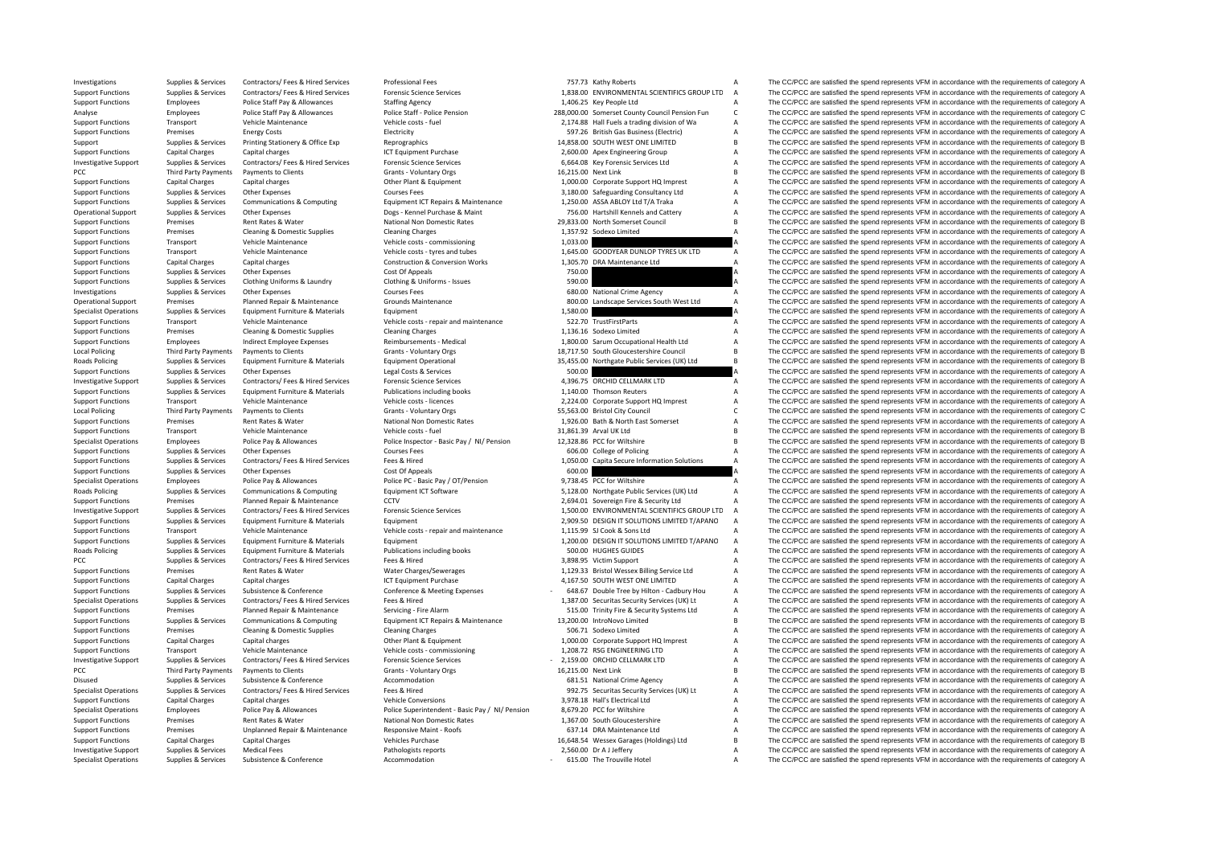| Investigations               | Supplies & Services    | Contractors/ Fees & Hired Services      | <b>Professional Fees</b>                        | 757.73 Kathy Roberts                           | A              | The CC/PCC are satisfied the spend represents VFM in accordance with the requirements of category A |
|------------------------------|------------------------|-----------------------------------------|-------------------------------------------------|------------------------------------------------|----------------|-----------------------------------------------------------------------------------------------------|
| <b>Support Functions</b>     | Supplies & Services    | Contractors/ Fees & Hired Services      | <b>Forensic Science Services</b>                | 1.838.00 ENVIRONMENTAL SCIENTIFICS GROUP LTD   | $\overline{A}$ | The CC/PCC are satisfied the spend represents VFM in accordance with the requirements of category A |
| <b>Support Functions</b>     | Employees              | Police Staff Pay & Allowances           | <b>Staffing Agency</b>                          | 1,406.25 Key People Ltd                        |                | The CC/PCC are satisfied the spend represents VFM in accordance with the requirements of category A |
| Analyse                      | Employees              | Police Staff Pay & Allowances           | Police Staff - Police Pension                   | 288,000.00 Somerset County Council Pension Fun | C              | The CC/PCC are satisfied the spend represents VFM in accordance with the requirements of category C |
| <b>Support Functions</b>     | Transport              | Vehicle Maintenance                     | Vehicle costs - fuel                            | 2,174.88 Hall Fuels a trading division of Wa   | A              | The CC/PCC are satisfied the spend represents VFM in accordance with the requirements of category A |
| <b>Support Functions</b>     | Premises               | <b>Energy Costs</b>                     | Electricity                                     | 597.26 British Gas Business (Electric)         | A              | The CC/PCC are satisfied the spend represents VFM in accordance with the requirements of category A |
|                              | Supplies & Services    | Printing Stationery & Office Exp        | Reprographics                                   | 14.858.00 SOUTH WEST ONE LIMITED               | B              | The CC/PCC are satisfied the spend represents VFM in accordance with the requirements of category B |
| Support                      |                        |                                         |                                                 |                                                |                |                                                                                                     |
| <b>Support Functions</b>     | <b>Capital Charges</b> | Capital charges                         | ICT Equipment Purchase                          | 2,600.00 Apex Engineering Group                | A              | The CC/PCC are satisfied the spend represents VFM in accordance with the requirements of category A |
| <b>Investigative Support</b> | Supplies & Services    | Contractors/ Fees & Hired Services      | <b>Forensic Science Services</b>                | 6,664.08 Key Forensic Services Ltd             | A              | The CC/PCC are satisfied the spend represents VFM in accordance with the requirements of category A |
| PCC                          | Third Party Payments   | Payments to Clients                     | Grants - Voluntary Orgs                         | 16,215.00 Next Link                            | R              | The CC/PCC are satisfied the spend represents VFM in accordance with the requirements of category B |
| <b>Support Functions</b>     | <b>Capital Charges</b> | Capital charges                         | Other Plant & Equipment                         | 1,000.00 Corporate Support HQ Imprest          | A              | The CC/PCC are satisfied the spend represents VFM in accordance with the requirements of category A |
| <b>Support Functions</b>     | Supplies & Services    | Other Expenses                          | Courses Fees                                    | 3,180.00 Safeguarding Consultancy Ltd          | A              | The CC/PCC are satisfied the spend represents VFM in accordance with the requirements of category A |
| <b>Support Functions</b>     | Supplies & Services    | Communications & Computing              | Equipment ICT Repairs & Maintenance             | 1,250.00 ASSA ABLOY Ltd T/A Traka              | A              | The CC/PCC are satisfied the spend represents VFM in accordance with the requirements of category A |
|                              |                        |                                         | Dogs - Kennel Purchase & Maint                  | 756.00 Hartshill Kennels and Cattery           | A              |                                                                                                     |
| <b>Operational Support</b>   | Supplies & Services    | Other Expenses                          |                                                 |                                                |                | The CC/PCC are satisfied the spend represents VFM in accordance with the requirements of category A |
| <b>Support Functions</b>     | Premises               | Rent Rates & Water                      | National Non Domestic Rates                     | 29,833.00 North Somerset Council               | R              | The CC/PCC are satisfied the spend represents VFM in accordance with the requirements of category B |
| <b>Support Functions</b>     | Premises               | Cleaning & Domestic Supplies            | <b>Cleaning Charges</b>                         | 1,357.92 Sodexo Limited                        | A              | The CC/PCC are satisfied the spend represents VFM in accordance with the requirements of category A |
| <b>Support Functions</b>     | Transport              | Vehicle Maintenance                     | Vehicle costs - commissioning                   | 1,033.00                                       |                | The CC/PCC are satisfied the spend represents VFM in accordance with the requirements of category A |
| <b>Support Functions</b>     | Transport              | Vehicle Maintenance                     | Vehicle costs - tyres and tubes                 | 1,645.00 GOODYEAR DUNLOP TYRES UK LTD          | A              | The CC/PCC are satisfied the spend represents VFM in accordance with the requirements of category A |
| <b>Support Functions</b>     | Capital Charges        | Capital charges                         | <b>Construction &amp; Conversion Works</b>      | 1,305.70 DRA Maintenance Ltd                   | $\overline{A}$ | The CC/PCC are satisfied the spend represents VFM in accordance with the requirements of category A |
| <b>Support Functions</b>     | Supplies & Services    | Other Expenses                          | Cost Of Appeals                                 | 750.00                                         |                | The CC/PCC are satisfied the spend represents VFM in accordance with the requirements of category A |
|                              |                        |                                         |                                                 | 590.00                                         |                | The CC/PCC are satisfied the spend represents VFM in accordance with the requirements of category A |
| <b>Support Functions</b>     | Supplies & Services    | Clothing Uniforms & Laundry             | Clothing & Uniforms - Issues                    |                                                |                |                                                                                                     |
| Investigations               | Supplies & Services    | Other Expenses                          | Courses Fees                                    | 680.00 National Crime Agency                   | А              | The CC/PCC are satisfied the spend represents VFM in accordance with the requirements of category A |
| <b>Operational Support</b>   | Premises               | Planned Repair & Maintenance            | <b>Grounds Maintenance</b>                      | 800.00 Landscape Services South West Ltd       |                | The CC/PCC are satisfied the spend represents VFM in accordance with the requirements of category A |
| <b>Specialist Operations</b> | Supplies & Services    | Equipment Furniture & Materials         | Equipment                                       | 1,580.00                                       |                | The CC/PCC are satisfied the spend represents VFM in accordance with the requirements of category A |
| <b>Support Functions</b>     | Transport              | Vehicle Maintenance                     | Vehicle costs - repair and maintenance          | 522.70 TrustFirstParts                         |                | The CC/PCC are satisfied the spend represents VFM in accordance with the requirements of category A |
| <b>Support Functions</b>     | Premises               | Cleaning & Domestic Supplies            | <b>Cleaning Charges</b>                         | 1.136.16 Sodexo Limited                        | A              | The CC/PCC are satisfied the spend represents VFM in accordance with the requirements of category A |
|                              |                        |                                         | Reimbursements - Medical                        |                                                | A              | The CC/PCC are satisfied the spend represents VFM in accordance with the requirements of category A |
| <b>Support Functions</b>     | Employees              | Indirect Employee Expenses              |                                                 | 1,800.00 Sarum Occupational Health Ltd         |                |                                                                                                     |
| <b>Local Policing</b>        | Third Party Payments   | Payments to Clients                     | Grants - Voluntary Orgs                         | 18,717.50 South Gloucestershire Council        | B              | The CC/PCC are satisfied the spend represents VFM in accordance with the requirements of category B |
| <b>Roads Policing</b>        | Supplies & Services    | Equipment Furniture & Materials         | <b>Equipment Operational</b>                    | 35,455.00 Northgate Public Services (UK) Ltd   | $\overline{B}$ | The CC/PCC are satisfied the spend represents VFM in accordance with the requirements of category B |
| <b>Support Functions</b>     | Supplies & Services    | Other Expenses                          | Legal Costs & Services                          | 500.00                                         |                | The CC/PCC are satisfied the spend represents VFM in accordance with the requirements of category A |
| <b>Investigative Support</b> | Supplies & Services    | Contractors/ Fees & Hired Services      | <b>Forensic Science Services</b>                | 4,396.75 ORCHID CELLMARK LTD                   | A              | The CC/PCC are satisfied the spend represents VFM in accordance with the requirements of category A |
| <b>Support Functions</b>     | Supplies & Services    | Equipment Furniture & Materials         | Publications including books                    | 1,140.00 Thomson Reuters                       | А              | The CC/PCC are satisfied the spend represents VFM in accordance with the requirements of category A |
| <b>Support Functions</b>     | Transport              | Vehicle Maintenance                     | Vehicle costs - licences                        | 2,224.00 Corporate Support HQ Imprest          | A              | The CC/PCC are satisfied the spend represents VFM in accordance with the requirements of category A |
|                              |                        |                                         |                                                 |                                                | C              |                                                                                                     |
| Local Policing               | Third Party Payments   | Payments to Clients                     | Grants - Voluntary Orgs                         | 55,563.00 Bristol City Council                 |                | The CC/PCC are satisfied the spend represents VFM in accordance with the requirements of category C |
| <b>Support Functions</b>     | Premises               | Rent Rates & Water                      | National Non Domestic Rates                     | 1,926.00 Bath & North East Somerset            | A              | The CC/PCC are satisfied the spend represents VFM in accordance with the requirements of category A |
| <b>Support Functions</b>     | Transport              | Vehicle Maintenance                     | Vehicle costs - fuel                            | 31.861.39 Arval UK Ltd                         | R              | The CC/PCC are satisfied the spend represents VFM in accordance with the requirements of category B |
| <b>Specialist Operations</b> | Employees              | Police Pay & Allowances                 | Police Inspector - Basic Pay / NI/ Pension      | 12,328.86 PCC for Wiltshire                    | B              | The CC/PCC are satisfied the spend represents VFM in accordance with the requirements of category B |
| <b>Support Functions</b>     | Supplies & Services    | <b>Other Expenses</b>                   | <b>Courses Fees</b>                             | 606.00 College of Policing                     |                | The CC/PCC are satisfied the spend represents VFM in accordance with the requirements of category A |
| <b>Support Functions</b>     | Supplies & Services    | Contractors/ Fees & Hired Services      | Fees & Hired                                    | 1,050.00 Capita Secure Information Solutions   | $\overline{A}$ | The CC/PCC are satisfied the spend represents VFM in accordance with the requirements of category A |
|                              |                        |                                         |                                                 | 600.00                                         |                |                                                                                                     |
| <b>Support Functions</b>     | Supplies & Services    | Other Expenses                          | Cost Of Appeals                                 |                                                |                | The CC/PCC are satisfied the spend represents VFM in accordance with the requirements of category A |
| <b>Specialist Operations</b> | Employees              | Police Pay & Allowances                 | Police PC - Basic Pay / OT/Pension              | 9,738.45 PCC for Wiltshire                     | A              | The CC/PCC are satisfied the spend represents VFM in accordance with the requirements of category A |
| <b>Roads Policing</b>        | Supplies & Services    | Communications & Computing              | Equipment ICT Software                          | 5,128.00 Northgate Public Services (UK) Ltd    | A              | The CC/PCC are satisfied the spend represents VFM in accordance with the requirements of category A |
| <b>Support Functions</b>     | Premises               | Planned Repair & Maintenance            | CCTV                                            | 2,694.01 Sovereign Fire & Security Ltd         |                | The CC/PCC are satisfied the spend represents VFM in accordance with the requirements of category A |
| <b>Investigative Support</b> | Supplies & Services    | Contractors/ Fees & Hired Services      | <b>Forensic Science Services</b>                | 1,500.00 ENVIRONMENTAL SCIENTIFICS GROUP LTD   | $\Delta$       | The CC/PCC are satisfied the spend represents VFM in accordance with the requirements of category A |
| <b>Support Functions</b>     | Supplies & Services    | Equipment Furniture & Materials         | Equipment                                       | 2,909.50 DESIGN IT SOLUTIONS LIMITED T/APANO   | $\overline{A}$ | The CC/PCC are satisfied the spend represents VFM in accordance with the requirements of category A |
|                              |                        | Vehicle Maintenance                     | Vehicle costs - repair and maintenance          | 1.115.99 SJ Cook & Sons Ltd                    |                | The CC/PCC are satisfied the spend represents VFM in accordance with the requirements of category A |
| <b>Support Functions</b>     | Transport              |                                         |                                                 |                                                |                |                                                                                                     |
| <b>Support Functions</b>     | Supplies & Services    | Equipment Furniture & Materials         | Equipment                                       | 1,200.00 DESIGN IT SOLUTIONS LIMITED T/APANO   | A              | The CC/PCC are satisfied the spend represents VFM in accordance with the requirements of category A |
| Roads Policing               | Supplies & Services    | Equipment Furniture & Materials         | Publications including books                    | 500.00 HUGHES GUIDES                           |                | The CC/PCC are satisfied the spend represents VFM in accordance with the requirements of category A |
| PCC                          | Supplies & Services    | Contractors/ Fees & Hired Services      | Fees & Hired                                    | 3,898.95 Victim Support                        | А              | The CC/PCC are satisfied the spend represents VFM in accordance with the requirements of category A |
| <b>Support Functions</b>     | Premises               | Rent Rates & Water                      | Water Charges/Sewerages                         | 1,129.33 Bristol Wessex Billing Service Ltd    | A              | The CC/PCC are satisfied the spend represents VFM in accordance with the requirements of category A |
| <b>Support Functions</b>     | Capital Charges        | Capital charges                         | ICT Equipment Purchase                          | 4,167.50 SOUTH WEST ONE LIMITED                | A              | The CC/PCC are satisfied the spend represents VFM in accordance with the requirements of category A |
| <b>Support Functions</b>     | Supplies & Services    | Subsistence & Conference                | Conference & Meeting Expenses                   | 648.67 Double Tree by Hilton - Cadbury Hou     | A              | The CC/PCC are satisfied the spend represents VFM in accordance with the requirements of category A |
|                              |                        |                                         |                                                 |                                                |                |                                                                                                     |
| <b>Specialist Operations</b> | Supplies & Services    | Contractors/ Fees & Hired Services      | Fees & Hired                                    | 1,387.00 Securitas Security Services (UK) Lt   | $\overline{A}$ | The CC/PCC are satisfied the spend represents VFM in accordance with the requirements of category A |
| <b>Support Functions</b>     | Premises               | Planned Repair & Maintenance            | Servicing - Fire Alarm                          | 515.00 Trinity Fire & Security Systems Ltd     | A              | The CC/PCC are satisfied the spend represents VFM in accordance with the requirements of category A |
| <b>Support Functions</b>     | Supplies & Services    | Communications & Computing              | Equipment ICT Repairs & Maintenance             | 13,200.00 IntroNovo Limited                    | R              | The CC/PCC are satisfied the spend represents VFM in accordance with the requirements of category B |
| <b>Support Functions</b>     | Premises               | <b>Cleaning &amp; Domestic Supplies</b> | <b>Cleaning Charges</b>                         | 506.71 Sodexo Limited                          | A              | The CC/PCC are satisfied the spend represents VFM in accordance with the requirements of category A |
| <b>Support Functions</b>     | <b>Capital Charges</b> | Capital charges                         | Other Plant & Equipment                         | 1,000.00 Corporate Support HQ Imprest          | A              | The CC/PCC are satisfied the spend represents VFM in accordance with the requirements of category A |
|                              | Transport              | Vehicle Maintenance                     | Vehicle costs - commissioning                   | 1.208.72 RSG ENGINEERING LTD                   | A              | The CC/PCC are satisfied the spend represents VFM in accordance with the requirements of category A |
| <b>Support Functions</b>     |                        |                                         |                                                 |                                                |                |                                                                                                     |
| <b>Investigative Support</b> | Supplies & Services    | Contractors/ Fees & Hired Services      | <b>Forensic Science Services</b>                | 2,159.00 ORCHID CELLMARK LTD                   | A              | The CC/PCC are satisfied the spend represents VFM in accordance with the requirements of category A |
| PCC                          | Third Party Payments   | Payments to Clients                     | Grants - Voluntary Orgs                         | 16,215.00 Next Link                            | R              | The CC/PCC are satisfied the spend represents VFM in accordance with the requirements of category B |
| Disused                      | Supplies & Services    | Subsistence & Conference                | Accommodation                                   | 681.51 National Crime Agency                   | A              | The CC/PCC are satisfied the spend represents VFM in accordance with the requirements of category A |
| <b>Specialist Operations</b> | Supplies & Services    | Contractors/ Fees & Hired Services      | Fees & Hired                                    | 992.75 Securitas Security Services (UK) Lt     | A              | The CC/PCC are satisfied the spend represents VFM in accordance with the requirements of category A |
| <b>Support Functions</b>     | Capital Charges        | Capital charges                         | <b>Vehicle Conversions</b>                      | 3,978.18 Hall's Electrical Ltd                 | A              | The CC/PCC are satisfied the spend represents VFM in accordance with the requirements of category A |
| <b>Specialist Operations</b> | Employees              | Police Pay & Allowances                 | Police Superintendent - Basic Pay / NI/ Pension | 8,679.20 PCC for Wiltshire                     | A              | The CC/PCC are satisfied the spend represents VFM in accordance with the requirements of category A |
|                              |                        |                                         | National Non Domestic Rates                     |                                                | A              | The CC/PCC are satisfied the spend represents VFM in accordance with the requirements of category A |
| <b>Support Functions</b>     | Premises               | Rent Rates & Water                      |                                                 | 1,367.00 South Gloucestershire                 |                |                                                                                                     |
| <b>Support Functions</b>     | Premises               | Unplanned Repair & Maintenance          | Responsive Maint - Roofs                        | 637.14 DRA Maintenance Ltd                     | A              | The CC/PCC are satisfied the spend represents VFM in accordance with the requirements of category A |
| <b>Support Functions</b>     | <b>Capital Charges</b> | Capital Charges                         | Vehicles Purchase                               | 16,648.54 Wessex Garages (Holdings) Ltd        | R              | The CC/PCC are satisfied the spend represents VFM in accordance with the requirements of category B |
| <b>Investigative Support</b> | Supplies & Services    | <b>Medical Fees</b>                     | Pathologists reports                            | 2.560.00 Dr A J Jefferv                        | Δ              | The CC/PCC are satisfied the spend represents VFM in accordance with the requirements of category A |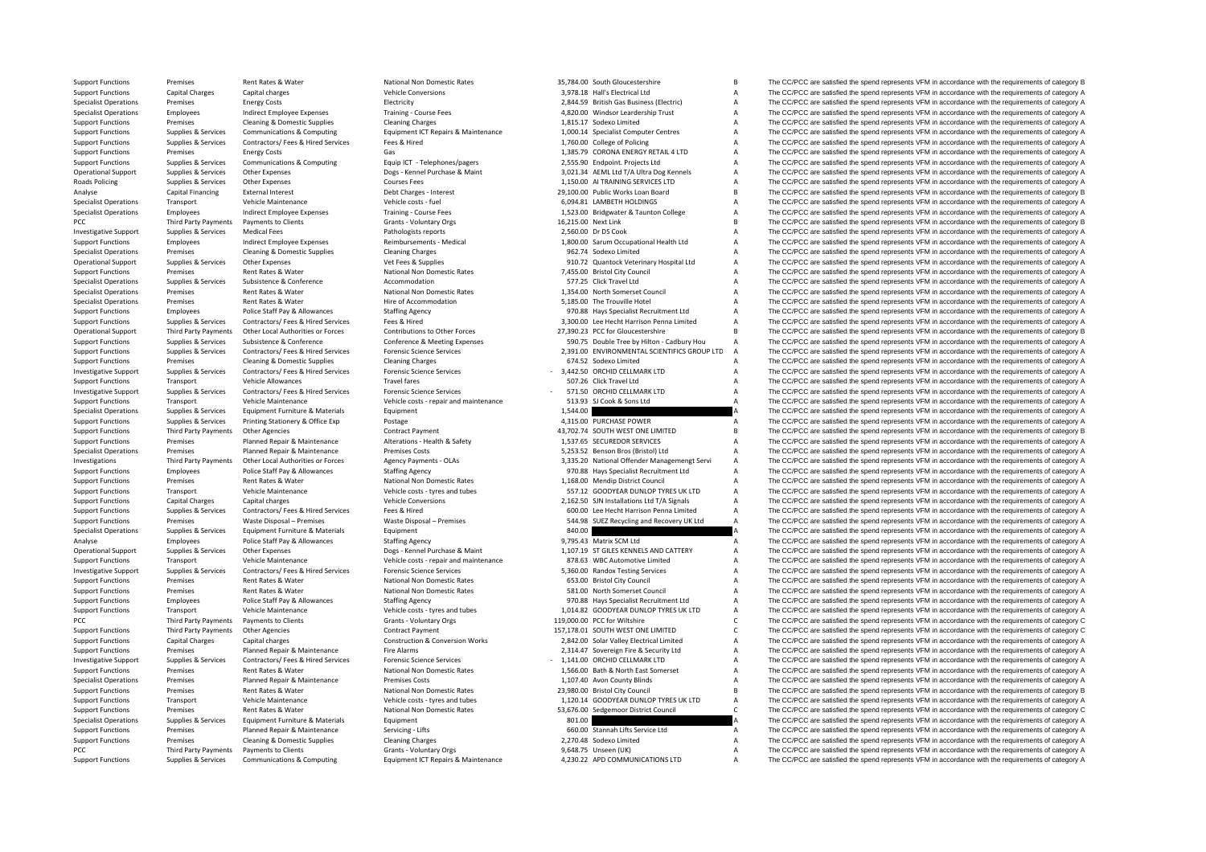**Roads Policing** PCC Third Party Payments **PCC** Third Party Payments PCC Third Party Payments

|                     | 35,784.00 South Gloucestershire                                 | B      |
|---------------------|-----------------------------------------------------------------|--------|
|                     | 3,978.18 Hall's Electrical Ltd                                  | A      |
|                     | 2,844.59 British Gas Business (Electric)                        | A      |
|                     | 4,820.00 Windsor Leardership Trust                              | A      |
|                     | 1,815.17 Sodexo Limited<br>1,000.14 Specialist Computer Centres | A      |
|                     |                                                                 | A      |
|                     | 1,760.00 College of Policing                                    | A      |
|                     | 1,385.79 CORONA ENERGY RETAIL 4 LTD                             | A      |
|                     | 2,555.90 Endpoint. Projects Ltd                                 | A      |
|                     | 3,021.34 AEML Ltd T/A Ultra Dog Kennels                         | A      |
|                     | 1,150.00 AI TRAINING SERVICES LTD                               | A      |
|                     | 29,100.00 Public Works Loan Board                               | B      |
|                     | 6,094.81 LAMBETH HOLDINGS                                       | A<br>A |
| 16,215.00 Next Link | 1,523.00 Bridgwater & Taunton College                           | B      |
|                     | 2,560.00 Dr DS Cook                                             | A      |
|                     | 1,800.00 Sarum Occupational Health Ltd                          | A      |
|                     | 962.74 Sodexo Limited                                           | A      |
|                     | 910.72 Quantock Veterinary Hospital Ltd                         | A      |
|                     | 7,455.00 Bristol City Council                                   | A      |
|                     | 577.25 Click Travel Ltd                                         | A      |
|                     | 1,354.00 North Somerset Council                                 | A      |
|                     | 5,185.00 The Trouville Hotel                                    | A      |
|                     | 970.88 Hays Specialist Recruitment Ltd                          | A      |
|                     | 3,300.00 Lee Hecht Harrison Penna Limited                       | A      |
|                     | 27,390.23 PCC for Gloucestershire                               | B      |
|                     | 590.75 Double Tree by Hilton - Cadbury Hou                      | A      |
|                     | 2,391.00 ENVIRONMENTAL SCIENTIFICS GROUP LTD                    | A      |
|                     | 674.52 Sodexo Limited                                           | A      |
|                     | 3,442.50 ORCHID CELLMARK LTD                                    | A      |
|                     | 507.26 Click Travel Ltd                                         | A      |
|                     |                                                                 | A      |
|                     | 571.50 ORCHID CELLMARK LTD<br>513.93 SJ Cook & Sons Ltd         | A      |
| 1,544.00            |                                                                 | A      |
|                     |                                                                 |        |
|                     | 4,315.00 PURCHASE POWER                                         | A      |
|                     | 43,702.74 SOUTH WEST ONE LIMITED                                | B      |
|                     | 1,537.65 SECUREDOR SERVICES                                     | A      |
|                     | 5,253.52 Benson Bros (Bristol) Ltd                              | A      |
|                     | 3,335.20 National Offender Managemengt Servi                    | A      |
|                     | 970.88 Hays Specialist Recruitment Ltd                          | A      |
|                     | 1,168.00 Mendip District Council                                | A      |
|                     | 557.12 GOODYEAR DUNLOP TYRES UK LTD                             | A      |
|                     | 2,162.50 SJN Installations Ltd T/A Signals                      | A      |
|                     | 600.00 Lee Hecht Harrison Penna Limited                         | A      |
|                     | 544.98 SUEZ Recycling and Recovery UK Ltd                       | A      |
| 840.00              |                                                                 | A      |
|                     | 9,795.43 Matrix SCM Ltd                                         | A      |
|                     | 1,107.19 ST GILES KENNELS AND CATTERY                           | A      |
|                     | 878.63 WBC Automotive Limited                                   | A      |
|                     | 5,360.00 Randox Testing Services                                | A      |
|                     | 653.00 Bristol City Council                                     | A      |
|                     | 581.00 North Somerset Council                                   | A      |
|                     | 970.88 Hays Specialist Recruitment Ltd                          | A      |
|                     | 1,014.82 GOODYEAR DUNLOP TYRES UK LTD                           | A      |
|                     | 119,000.00 PCC for Wiltshire                                    | C      |
|                     | 157,178.01 SOUTH WEST ONE LIMITED                               | C      |
|                     | 2,842.00 Solar Valley Electrical Limited                        | A      |
|                     | 2,314.47 Sovereign Fire & Security Ltd                          | Α      |
|                     | 1,141.00 ORCHID CELLMARK LTD                                    | A      |
|                     | 1,566.00 Bath & North East Somerset                             | A      |
|                     | 1,107.40 Avon County Blinds                                     | A      |
|                     | 23,980.00 Bristol City Council                                  | B      |
|                     | 1,120.14 GOODYEAR DUNLOP TYRES UK LTD                           | A      |
|                     | 53,676.00 Sedgemoor District Council                            | C      |
| 801.00              |                                                                 | A      |
|                     | 660.00 Stannah Lifts Service Ltd                                | A      |
|                     | 2,270.48 Sodexo Limited<br>9,648.75 Unseen (UK)                 | A<br>A |

Support Functions Premises Rent Rates & Water National Non Domestic Rates 35,784.00 South Gloucestershire B The CC/PCC are satisfied the spend represents VFM in accordance with the requirements of category B Support Functions Capital Charges Capital charges Vehicle Conversions Vehicle Conversions 3,978.18 Hall's Electrical Ltd A The CC/PCC are satisfied the spend represents VFM in accordance with the requirements of category A Specialist Operations Premises Energy Costs Electricity Electricity Electricity 2,844.59 British Gas Business (Electricity A The CC/PCC are satisfied the spend represents VFM in accordance with the requirements of category Specialist Operations Employees Indirect Employee Expenses Training - Course Fees 4,820.00 Windsor Leardership Trust A The CC/PCC are satisfied the spend represents VFM in accordance with the requirements of category A Sup Premises Cleaning & Domestic Supplies Cleaning Charges Cleaning Charges 1,815.17 Sodexo Limited A The CC/PCC are satisfied the spend represents VFM in accordance with the requirements of category A Support Functions Supplies & Services Communications & Computing Equipment ICT Repairs & Maintenance 1,000.14 Specialist Computer Centres A The CC/PCC are satisfied the spend represents VFM in accordance with the requireme Support Functions Supplies & Services Contractors/ Fees & Hired Services Fees & Hired 1,760.00 College of Policing A The CC/PCC are satisfied the spend represents VFM in accordance with the requirements of category A Support Functions Premises Energy Costs Gas Gas Support Containing the Support of the COLOGIC are satisfied the spend represents VFM in accordance with the requirements of category A Support Functions Supplies & Services Communications & Computing Equip Equip ICT - Telephones/pagers 2.555.90 Endopint. Projects Ltd A The CC/PCC are satisfied the spend represents VFM in accordance with the requirements o Operational Support Supplies & Services Other Expenses States (alegony A Dogs - Kennel Purchase & Maint 3.021.34 AFML Itd T/A Ultra Dog Kennels A The CC/PCC are satisfied the spend represents VFM in accordance with the req Policing Supplies & Services Other Expenses Courses Fees Courses Fees Courses Fees 1,150.00 AI TRAINING SERVICES LTD A The CC/PCC are satisfied the spend represents VFM in accordance with the requirements of category A<br>Cou Capital Financing External Interest Debt Charges - Interest 29,100.00 Public Works Loan Board B The CC/PCC are satisfied the spend represents VFM in accordance with the requirements of category B Specialist Operations Transport Vehicle Maintenance Vehicle costs - fuel 6,094.81 LAMBETH HOLDINGS A The CC/PCC are satisfied the spend represents VFM in accordance with the requirements of category A Specialist Operations Employees Indirect Employee Expenses Training - Course Fees 1,523.00 Bridgwater & Taunton College A The CC/PCC are satisfied the spend represents VFM in accordance with the requirements of category A Payments to Clients Grants - Voluntary Orgs 16,215.00 Next Link B The CC/PCC are satisfied the spend represents VFM in accordance with the requirements of category B Investigative Support Supplies & Services Medical Fees Pathologists reports Pathologists reports 2,560.00 Dr DS Cook A The CC/PCC are satisfied the spend represents VFM in accordance with the requirements of category A Support Functions Employees Indirect Employee Expenses Reimbursements - Medical 1,800.00 Sarum Occupational Health Ltd A The CC/PCC are satisfied the spend represents VFM in accordance with the requirements of category A Specialist Operations Premises Cleaning & Domestic Supplies Cleaning Charges 962.74 Sodexo Limited A The CC/PCC are satisfied the spend represents VFM in accordance with the requirements of category A Operational Support Supplies & Services Other Expenses Vet Fees & Supplies Vet Fees & Supplies 910.72 Quantock Veterinary Hospital Ltd A The CC/PCC are satisfied the spend represents VFM in accordance with the requirements Support Functions Premises Rent Rates Rent Rates Rent Rates National Non Domestic Rates 7,455.00 Bristol City Council A The CC/PCC are satisfied the spend represents VFM in accordance with the requirements of category A Na Specialist Operation Specialist Operations Supplies Supplies Supplies Subsistence Accommodation 577.25 Click Travel Ltd A The CC/PCC are satisfied the spend represents VFM in accordance with the requirements of category A Specialist Operations Premises Rent Rates & Water National Non Domestic Rates 1,354.00 North Somerset Council A The CC/PCC are satisfied the spend represents VFM in accordance with the requirements of category A Specialist Operations Premises Rent Rates & Water Hire of Accommodation Hire of Accommodation 5,185.00 The Trouville Hotel A The CC/PCC are satisfied the spend represents VFM in accordance with the requirements of category Support Functions Employees Police Staff Pay & Allowances Staffing Agency Staffing Agency 1970.88 Hays Specialist Recruitment Ltd A The CC/PCC are satisfied the spend represents VFM in accordance with the requirements of c The CC/PCC are satisfied the spend represents VFM in accordance with the requirements of category A Operational Support Third Party Payments Other Incal Authorities or Forces Contributions to Other Enros Contributions to Other Forces 27390.23 PCC for Gloucestershire R The CC/PCC are satisfied the spend represents VEM in Support Functions Supplies & Services Subsistence & Conference Conference Meeting Expenses 590.75 Double Tree by Hilton - Cadbury Hou A The CC/PCC are satisfied the spend represents VFM in accordance with the requirements Support Functions Supplies & Services Contractors/ Fees & Hired Services Forensic Science Services Forensic Science Services and the Support Published Calegony A The CC/PCC are satisfied the spend represents VFM in accorda The CC/PCC are satisfied the spend represents VFM in accordance with the requirements of category A Investigative Support Supplies & Services Contractors/ Fees & Hired Services Forensic Science Services Forensic Science Services - 3,442.50 ORCHID CELLMARK LTD A The CC/PCC are satisfied the spend represents VFM in accorda Support Functions Transport Vehicle Allowances Travel fares Travel fares Travel tares and the requirements of category A The CC/PCC are satisfied the spend represents VFM in accordance with the requirements of category A Investigative Support Supplies & Services Contractors/ Fees & Hired Services Forensic Science Services Forensic Science Services - 571.50 ORCHID CELLMARK LTD A The CC/PCC are satisfied the spend represents VFM in accordanc The CC/PCC are satisfied the spend represents VFM in accordance with the requirements of category A Specialist Operations Supplies & Services Equipment Furniture & Materials Equipment Equipment 1,544.00 A The CC/PCC are satisfied the spend represents VFM in accordance with the requirements of category A Support Functions Supplies & Services Printing Stationery & Office Exp Postage 4,4315.00 PURCHASE POWER A The CC/PCC are satisfied the spend represents VFM in accordance with the requirements of category A Support Functions Third Party Payments Other Agencies Contract Payment Contract Payment 43,702.74 SOUTH WEST ONE LIMITED B The CC/PCC are satisfied the spend represents VFM in accordance with the requirements of category B Support Functions Premises Planned Repair & Maintenance Alterations – Health & Safety 1,537.65 SECUREDOR SERVICES A The CC/PCC are satisfied the spend represents VFM in accordance with the requirements of category A Specia Premises Planned Repair & Maintenance Premises Costs Premises Costs 5,253.52 Benson Bros (Bristol) Ltd A The CC/PCC are satisfied the spend represents VFM in accordance with the requirements of category A The Cristopher Ma Investigations Third Party Payments Other Local Authorities or Forces Agency Payments - OLAs 3.335.20 National Offender Management Servi A The CC/PCC are satisfied the spend represents VFM in accordance with the requiremen Support Functions Employees Police Staff Pay & Allowances Staffing Agency Staffing Agency 970.88 Hays Specialist Recruitment Ltd A The CC/PCC are satisfied the spend represents VFM in accordance with the requirements of ca Support Functions Premises Rent Rates & Water Mational Non Domestic Rates 1,168.00 Mendip District Council Council A The CC/PCC are satisfied the spend represents VFM in accordance with the requirements of category A Spend Transport Vehicle Maintenance Vehicle Costs - tyres and tubes 557.12 GOODYEAR DUNLOP TYRES UK LTD A The CC/PCC are satisfied the spend represents VFM in accordance with the requirements of category A Support Functions Capital Charges Capital charges Vehicle Conversions 2,162.50 SJN Installations Ltd T/A Signals A The CC/PCC are satisfied the spend represents VFM in accordance with the requirements of category A Support Functions Supplies & Services Contractors/Fees & Hired Services Fees & Hired Fees & Hired Expansion Content Contractors/Fees & Hired Fees & Hired Services Fees & Hired 600.00 Lee Hecht Harrison Penna Limited A The Support Functions Premises Waste Disposal – Premises Waste Disposal – Premises Waste Disposal – Premises Waste Disposal – Premises Premises Support Support Support Disposal – Premises 544.98 SUEZ Recycling and Recovery UK Equipment and Supplies and Supplies and Supplies A The CC/PCC are satisfied the spend represents VFM in accordance with the requirements of category A Analyse Employees Police Staff Pay & Allowances Staffing Agency 9,795.43 Matrix SCM Ltd A The CC/PCC are satisfied the spend represents VFM in accordance with the requirements of category A Operational Support Supplies & Services Other Expenses on the Dogs - Kennel Purchase & Maint 1,107.19 ST GILES KENNELS AND CATTERY A The CC/PCC are satisfied the spend represents VFM in accordance with the requirements of Support Functions Transport Vehicle Maintenance Vehicle costs repair and maintenance 878.63 WBC Automotive Limited A The CC/PCC are satisfied the spend represents VFM in accordance with the requirements of category A Investigative Support Supplies & Services Contractors/ Fees & Hired Services Forensic Science Services Forensic Science Services 5,360.00 Randox Testing Services A The CC/PCC are satisfied the spend represents VFM in accor Support Functions Premises Rent Rates & Water Mational Non Domestic Rates 653.00 Bristol City Council A The CC/PCC are satisfied the spend represents VFM in accordance with the requirements of category A Support Functions Support Functions Premises Rent Rates & Water National Non Domestic Rates 581.00 North Somerset Council A The CC/PCC are satisfied the spend represents VFM in accordance with the requirements of category A<br>Support Function Support Functions Employees Police Staff Pay & Allowances Staffing Agency 970.88 Hays Specialist Recruitment Ltd A The CC/PCC are satisfied the spend represents VFM in accordance with the requirements of category A Support Functions Transport Vehicle Maintenance Vehicle Costs - tyres and tubes 1,014.82 GOODYEAR DUNLOP TYRES UK LTD A The CC/PCC are satisfied the spend represents VFM in accordance with the requirements of category A Payments to Clients Crants - Voluntary Orgs 119,000,00 PCC for Wiltshire C The CC/PCC are satisfied the spend represents VFM in accordance with the requirements of category C Support Functions Third Party Payments Other Agencies Contract Payment Contract Payment 157,178.01 SOUTH WEST ONE LIMITED C The CC/PCC are satisfied the spend represents VFM in accordance with the requirements of category Support Functions Capital Charges Capital charges Construction & Conversion Works 2,842.00 Solar Valley Electrical Limited A The CC/PCC are satisfied the spend represents VFM in accordance with the requirements of category Support Functions Premises Planned Repair & Maintenance Fire Alarms Fire Alarms 2,314.47 Sovereign Fire & Security Ltd A The CC/PCC are satisfied the spend represents VFM in accordance with the requirements of category A I Investigative Support Supplies & Services Contractors/ Fees & Hired Services Forensic Science Services Forensic Science Services - 1,141.00 ORCHID CELLMARK LTD A The CC/PCC are satisfied the spend represents VFM in accorda Support Functions Premises Rent Rates & Water National Non Domestic Rates 1,566.00 Bath & North Fast Somerset A The CC/PCC are satisfied the spend represents VFM in accordance with the requirements of category A Specialist Operations Premises Planned Repair & Maintenance Premises Costs 1,107.40 Avon County Blinds A The CC/PCC are satisfied the spend represents VFM in accordance with the requirements of category A Support Functions Premises Rent Rates & Water National Non Domestic Rates 23,980.00 Bristol City Council B The CC/PCC are satisfied the spend represents VFM in accordance with the requirements of category B Support Functions Transport Vehicle Maintenance Vehicle Costs - tyres and tubes 1,120.14 GOODYEAR DUNLOP TYRES UK LTD A The CC/PCC are satisfied the spend represents VFM in accordance with the requirements of category A Na Support Functions Premises Rent Rates Rent Rates National Non Domestic Rates 53,676.00 Sedgemoor District Council C The CC/PCC are satisfied the spend represents VFM in accordance with the requirements of category C Specialist Operations Supplies & Services Equipment Euriture & Materials Equipment Equipment Equipment Equipment Supplies Equipment Supplies Equipment Supplies Equipment Supplies Equipment Supplies Equipment Supplies and t The CC/PCC are satisfied the spend represents VFM in accordance with the requirements of category A Support Functions Premises Cleaning & Domestic Supplies Cleaning Charges Cleaning Charges 2,270.48 Sodexo Limited A The CC/PCC are satisfied the spend represents VFM in accordance with the requirements of category A Payments to Clients Grants - Voluntary Orgs 600 m and the Section Payments Dramates of category A The CC/PCC are satisfied the spend represents VFM in accordance with the requirements of category A Support Functions Supplies & Services Communications & Computing Equipment ICT Repairs & Maintenance 4,230.22 APD COMMUNICATIONS LTD A The CC/PCC are satisfied the spend represents VFM in accordance with the requirements o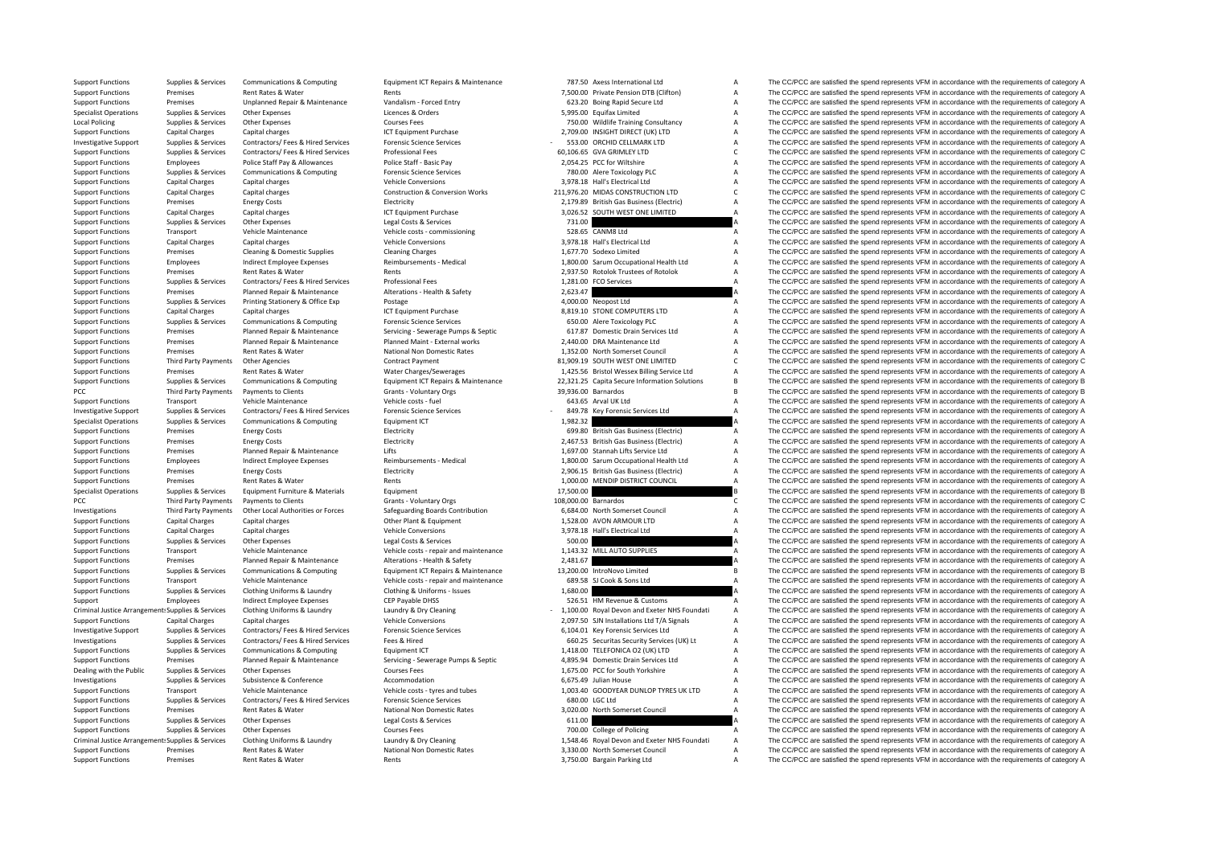Local Policing PCC Third Party Payments PCC Third Party Payments Criminal JusticeCriminal Justice

|                      | 787.50 Axess International Ltd                                                  | A        |
|----------------------|---------------------------------------------------------------------------------|----------|
|                      | 7,500.00 Private Pension DTB (Clifton)                                          | A        |
|                      | 623.20 Boing Rapid Secure Ltd                                                   | A        |
|                      | 5,995.00 Equifax Limited                                                        | А        |
|                      | 750.00 Wildlife Training Consultancy                                            | A        |
|                      | 2,709.00 INSIGHT DIRECT (UK) LTD                                                | A        |
|                      | 553.00 ORCHID CELLMARK LTD                                                      | A        |
|                      | 60,106.65 GVA GRIMLEY LTD                                                       | C        |
|                      | 2,054.25 PCC for Wiltshire                                                      | A        |
|                      | 780.00 Alere Toxicology PLC                                                     | A        |
|                      | 3,978.18 Hall's Electrical Ltd<br>211,976.20 MIDAS CONSTRUCTION LTD             | A<br>C   |
|                      | 2,179.89 British Gas Business (Electric)                                        | A        |
|                      | 3,026.52 SOUTH WEST ONE LIMITED                                                 | A        |
| 731.00               |                                                                                 | А        |
|                      | 528.65 CANM8 Ltd                                                                | A        |
|                      | 3,978.18 Hall's Electrical Ltd                                                  | A        |
|                      | 1,677.70 Sodexo Limited                                                         | A        |
|                      | 1,800.00 Sarum Occupational Health Ltd                                          | A        |
|                      | 2,937.50 Rotolok Trustees of Rotolok                                            | A        |
|                      | 1,281.00 FCO Services                                                           | A        |
| 2,623.47             |                                                                                 | A        |
|                      | 4,000.00 Neopost Ltd                                                            | A        |
|                      | 8,819.10 STONE COMPUTERS LTD                                                    | A        |
|                      | 650.00 Alere Toxicology PLC                                                     | A        |
|                      | 617.87 Domestic Drain Services Ltd                                              | А        |
|                      | 2,440.00 DRA Maintenance Ltd                                                    | A        |
|                      | 1,352.00 North Somerset Council                                                 | A        |
|                      | 81,909.19 SOUTH WEST ONE LIMITED                                                | C        |
|                      | 1,425.56 Bristol Wessex Billing Service Ltd                                     | A        |
|                      | 22,321.25 Capita Secure Information Solutions                                   | <b>B</b> |
|                      | 39,936.00 Barnardos                                                             | B        |
|                      | 643.65 Arval UK Ltd                                                             | A        |
|                      | 849.78 Key Forensic Services Ltd                                                | A<br>A   |
| 1,982.32             | 699.80 British Gas Business (Electric)                                          | A        |
|                      | 2,467.53 British Gas Business (Electric)                                        | A        |
|                      | 1,697.00 Stannah Lifts Service Ltd                                              | A        |
|                      | 1,800.00 Sarum Occupational Health Ltd                                          | A        |
|                      | 2,906.15 British Gas Business (Electric)                                        | A        |
|                      |                                                                                 |          |
|                      |                                                                                 | A        |
| 17,500.00            | 1,000.00 MENDIP DISTRICT COUNCIL                                                | B        |
| 108,000.00 Barnardos |                                                                                 | C        |
|                      | 6,684.00 North Somerset Council                                                 | A        |
|                      | 1,528.00 AVON ARMOUR LTD                                                        | А        |
|                      | 3,978.18 Hall's Electrical Ltd                                                  | A        |
| 500.00               |                                                                                 | A        |
|                      | 1,143.32 MILL AUTO SUPPLIES                                                     | A        |
| 2,481.67             |                                                                                 | A        |
|                      | 13,200.00 IntroNovo Limited                                                     | B        |
|                      | 689.58 SJ Cook & Sons Ltd                                                       | А        |
| 1,680.00             |                                                                                 | A        |
|                      | 526.51 HM Revenue & Customs                                                     | A        |
|                      | 1,100.00 Royal Devon and Exeter NHS Foundati                                    | A        |
|                      | 2,097.50 SJN Installations Ltd T/A Signals                                      | A        |
|                      | 6,104.01 Key Forensic Services Ltd                                              | А        |
|                      | 660.25 Securitas Security Services (UK) Lt<br>1,418.00 TELEFONICA O2 (UK) LTD   | А<br>А   |
|                      | 4,895.94 Domestic Drain Services Ltd                                            | A        |
|                      |                                                                                 | A        |
|                      | 1,675.00 PCC for South Yorkshire<br>6,675.49 Julian House                       | A        |
|                      | 1,003.40 GOODYEAR DUNLOP TYRES UK LTD                                           | A        |
|                      | 680.00 LGC Ltd                                                                  | A        |
|                      | 3,020.00 North Somerset Council                                                 | A        |
| 611.00               |                                                                                 | A        |
| 700.00               | College of Policing                                                             | A        |
|                      | 1,548.46 Royal Devon and Exeter NHS Foundati<br>3,330.00 North Somerset Council | A<br>A   |

Support Functions Supplies & Services Communications & Computing Equipment ICT Repairs & Maintenance 787.50 Axess International Ltd A The CC/PCC are satisfied the spend represents VFM in accordance with the requirements of Support Functions Premises Rent Rates & Water Rents Rents Rents Rents 7,500.00 Private Pension DTB (Clifton) A The CC/PCC are satisfied the spend represents VFM in accordance with the requirements of category A Support Functions Premises Unplanned Repair & Maintenance Vandalism ‐ Forced Entry 623.20 Boing Rapid Secure Ltd A The CC/PCC are satisfied the spend represents VFM in accordance with the requirements of category A Specialist Operations Supplies & Services Other Expenses Licences & Orders Corders Corders Corders Corders Corders Corders Corders A Service A The CC/PCC are satisfied the spend represents VFM in accordance with the requir Policing Courses Fees Courses Fees 2009 Mildlife Training Consultancy A The CC/PCC are satisfied the spend represents VFM in accordance with the requirements of category A Support Functions Capital Charges Capital charges Capital charges Capital charges Capital charges Capital charges Capital charges ICT Equipment Purchase 2,709.00 INSIGHT DIRECT (UK) LTD A The CC/PCC are satisfied the spend Investigative Support Supplies & Services Contractors/ Fees & Hired Services Forensic Science Services Forensic Science Services - 553.00 ORCHID CELLMARK LTD A The CC/PCC are satisfied the spend represents VFM in accordanc Support Functions Supplies & Services Contractors/ Fees Bired Services Professional Fees 60,106.65 GVA GRIMLEY LTD C The CC/PCC are satisfied the spend represents VFM in accordance with the requirements of category C Support Functions Employees Police Staff Pay & Allowances Police Staff - Basic Pay 2,054.25 PCC for Wiltshire A The CC/PCC are satisfied the spend represents VFM in accordance with the requirements of category A Support Functions Supplies & Services Communications & Computing Forensic Science Services 780.00 Alere Toxicology PLC A The CC/PCC are satisfied the spend represents VFM in accordance with the requirements of category A Support Functions Capital Charges Capital charges Vehicle Conversions Vehicle Conversions 3,978.18 Hall's Electrical Ltd A The CC/PCC are satisfied the spend represents VFM in accordance with the requirements of category A Support Functions Capital Charges Capital charges Construction & Conversion Works 211,976.20 MIDAS CONSTRUCTION LTD COPCC are satisfied the spend represents VFM in accordance with the requirements of category C Support Functions Premises Energy Costs Energy Costs Electricity Electricity Electricity 2,179.89 British Gas Business (Electricity A The CC/PCC are satisfied the spend represents VFM in accordance with the requirements of Support Functions Capital Charges Capital charges Scale and a Support Purchase 3,026.52 SOUTH WEST ONE LIMITED A The CC/PCC are satisfied the spend represents VFM in accordance with the requirements of category A Support Functions Supplies & Services Other Expenses Legal Costs & Services 201.00 731.00 A The CC/PCC are satisfied the spend represents VFM in accordance with the requirements of category A Support Functions Transport Vehicle Maintenance Vehicle Costs - commissioning 528.65 CANM8 Ltd A The CC/PCC are satisfied the spend represents VFM in accordance with the requirements of category A Support Functions Capital Charges Capital charges Capital charges Vehicle Conversions Vehicle Conversions 3,978.18 Hall's Electrical Ltd A The CC/PCC are satisfied the spend represents VFM in accordance with the requiremen Support Functions Premises Cleaning & Domestic Supplies Cleaning Charges Cleaning Charges Cleaning Charges Cleaning Charges Cleaning Charges Cleaning Charges Cleaning Charges Cleaning Charges A The CC/PCC are satisfied the Support Functions Employees Indirect Employee Expenses Reimbursements - Medical 1,800.00 Sarum Occupational Health Ltd A The CC/PCC are satisfied the spend represents VFM in accordance with the requirements of category A Support Functions Premises Rent Rates & Water Rents Rents Rents Rents Rents Rents Rents 2,937.50 Rotolok Zatisfied A The CC/PCC are satisfied the spend represents VFM in accordance with the requirements of category A Suppo Professional Fees **Example 2012 1.281.00 FCO Services** Contractors A The CC/PCC are satisfied the spend represents VFM in accordance with the requirements of category A The Crip of the spend represents VFM in accordance wi Support Functions Premises Planned Repair & Maintenance Alterations - Health & Safety 2,623.47 A The CC/PCC are satisfied the spend represents VFM in accordance with the requirements of category A Support Functions Supplies & Services Printing Stationery & Office Exp Postage 4,000.00 Neopost Ltd A The CC/PCC are satisfied the spend represents VFM in accordance with the requirements of category A Support Functions Capital Charges Capital charges Capital charges Actual CT Equipment Purchase 8,819.10 Support Burchase 8,819.10 Support Functions and The CC/PCC are satisfied the spend represents VFM in accordance with t The CC/PCC are satisfied the spend represents VFM in accordance with the requirements of category A Support Functions Premises Planned Repair & Maintenance Servicing - Servicing - Servicing - Servicing - Servicing - Servicing - Servicing - Servicing - Servicing - Servicing - Servicing - Servicing - Servicing - Servicing Support Functions Premises Planned Repair & Maintenance Planned Maint - External works 2,440.00 DRA Maintenance Ltd A The CC/PCC are satisfied the spend represents VFM in accordance with the requirements of category A Support Functions Premises Rent Rates & Water Mational Non Domestic Rates 1,352.00 North Somerset Council A The CC/PCC are satisfied the spend represents VFM in accordance with the requirements of category A Contract Payme The CC/PCC are satisfied the spend represents VFM in accordance with the requirements of category C Support Functions Premises Rent Rates & Water Water Water Charges/Sewerages 1,425.56 Bristol Wessex Billing Service Ltd A The CC/PCC are satisfied the spend represents VFM in accordance with the requirements of category A Support Functions Supplies & Services Communications & Computing Equipment ICT Repairs & Maintenance 22.321.25 Capita Secure Information Solutions B The CC/PCC are satisfied the spend represents VFM in accordance with the Third Party Payments Payments to Clients and Crants - Voluntary Orgs 39,936.00 Barnardos 39,936.00 Barnardos B The CC/PCC are satisfied the spend represents VFM in accordance with the requirements of category B Vabic of Support Functions Transport Vehicle Maintenance Vehicle Costs - fuel Costs and Maintenance Vehicle Costs Fuel Costs Fuel 643.65 Arval UK Ltd A The CC/PCC are satisfied the spend represents VFM in accordance with the requir Investigative Support Supplies & Services Contractors/ Fees & Hired Services Forensic Science Services Contensic Science Services Contensic Science Services - 849.78 Key Forensic Services Ltd A The CC/PCC are satisfied the Specialist Operations Supplies & Services Communications & Computing Fourthermore Equipment ICT 1,982.32 A The CC/PCC are satisfied the spend represents VFM in accordance with the requirements of category A Support Functions Premises Energy Costs Energy Costs Electricity Electricity Electricity 699.80 British Gas Business (Electricity A The CC/PCC are satisfied the spend represents VFM in accordance with the requirements of c Support Functions Premises Energy Costs Energy Costs Electricity Electricity 2,467.53 British Gas Business (Electricic) A The CC/PCC are satisfied the spend represents VFM in accordance with the requirements of category A Support Functions Premises Planned Repair & Maintenance Lifts Lifts 1,697.00 Stannah Lifts Service Ltd A The CC/PCC are satisfied the spend represents VFM in accordance with the requirements of category A Support Functions Employees Indirect Employee Expenses Reimbursements - Medical 1,800.00 Sarum Occupational Health Ltd A The CC/PCC are satisfied the spend represents VFM in accordance with the requirements of category A Support Functions Premises Energy Costs Electricity Electricity 2,906.15 British Gas Business (Electric) A The CC/PCC are satisfied the spend represents VFM in accordance with the requirements of category A Support Functions Premises Rent Rates & Water Rents 1,000.00 MENDIP DISTRICT COUNCIL A The CC/PCC are satisfied the spend represents VFM in accordance with the requirements of category A Specialist Operations of the CAPCC are satisfied the spend represents VFM in accordance with the requirements of category B The CC/PCC are satisfied the spend represents VFM in accordance with the requirements of category Payments to Clients Clients Grants Countary Orgs 108,000.00 Barnardos C The CC/PCC are satisfied the spend represents VFM in accordance with the requirements of category C Investigations Third Party Payments Other Local Authorities or Forces Safeguarding Boards Contribution 6,684.00 North Somerset Council A The CC/PCC are satisfied the spend represents VFM in accordance with the requirements of category A Support Functions Capital Charges Capital charges Capital Charges Capital charges Other Plant & Equipment 1,528.00 AVON ARMOUR LTD A The CC/PCC are satisfied the spend represents VFM in accordance with the requirements of The CC/PCC are satisfied the spend represents VFM in accordance with the requirements of category A Support Functions Supplies & Services Other Expenses Legal Costs & Services Support Cegal Costs & Services Cegal Costs & Services 500.00 A The CC/PCC are satisfied the spend represents VFM in accordance with the requiremen Support Functions Transport Vehicle Maintenance Vehicle costs - repair and maintenance 1,143.32 MILL AUTO SUPPLIES A The CC/PCC are satisfied the spend represents VFM in accordance with the requirements of category A Suppo Support Functions Premises Planned Repair & Maintenance Alterations – Health & Safety 2,481.67 A The CC/PCC are satisfied the spend represents VFM in accordance with the requirements of category A Support Functions Supplies & Services Communications & Computing Equipment ICT Repairs & Maintenance 13,200.00 IntroNovo Limited Busines and The CC/PCC are satisfied the spend represents VFM in accordance with the requirem Support Functions Transport Vehicle Maintenance Vehicle Costs - repair and maintenance 689.58 SJ Cook & Sons Ltd A The CC/PCC are satisfied the spend represents VFM in accordance with the requirements of category A Support Support Functions Supplies & Services Clothing Uniforms & Laundry Clothing & Uniforms – Issues 1,680.00 A The CC/PCC are satisfied the spend represents VFM in accordance with the requirements of category A The Criteria are Support Employees Indirect Employee Expenses CEP Payable DHSS 526.51 HM Revenue & Customs A The CC/PCC are satisfied the spend represents VFM in accordance with the requirements of category A Clothing Uniforms & Laundry Munder Merculeum Laundry & Dry Cleaning Munder of the 1,100.00 Royal Devon and Exeter NHS Foundati A The CC/PCC are satisfied the spend represents VFM in accordance with the requirements of cate Support Functions Capital Charges Capital charges Capital charges Vehicle Conversions Vehicle Conversions 2,097.50 SJN Installations Ltd T/A Signals A The CC/PCC are satisfied the spend represents VFM in accordance with th Investigative Support Supplies & Services Contractors/ Fees & Hired Services Forensic Science Services 6,104.01 Key Forensic Services Ltd <sup>A</sup> The CC/PCC are satisfied the spend represents VFM in accordance with the requirements of category A investigations and contractions of the contractions of the contraction of the contraction of the contraction of the contraction of the contraction of the contraction of the contraction of the contraction of the contraction Support Functions Supplies & Services Communications & Computing Equipment ICT 1,418.00 TELEFONICA O2 (UK) LTD A The CC/PCC are satisfied the spend represents VFM in accordance with the requirements of category A Support Functions Premises Planned Repair & Maintenance Servicing - Servicing - Serverage Pumps & Septic 4,895.94 Domestic Drain Services Ltd A The CC/PCC are satisfied the spend represents VFM in accordance with the requi Dealing with the Public Supplies & Services Other Expenses Courses Fees Courses Fees 1,675.00 PCC for South Yorkshire A The CC/PCC are satisfied the spend represents VFM in accordance with the requirements of category A Investigations Supplies & Services Subsistence Subsistence Accommodation Accommodation Accommodation 6,675.49 Julian House A The CC/PCC are satisfied the spend represents VFM in accordance with the requirements of category Support Functions Transport Vehicle Maintenance Vehicle Costs – tyres and tubes 1,003.40 GOODYEAR DUNLOP TYRES UK LTD A The CC/PCC are satisfied the spend represents VFM in accordance with the requirements of category A Su Support Functions Supplies & Services Contractors/ Fees & Hired Services Forensic Science Services Forensic Science Services 680.00 LGC Ltd A The CC/PCC are satisfied the spend represents VFM in accordance with the require Support Functions Premises Rent Rates Rent Rates National Non Domestic Rates 3,020,00 North Somerset Council A The CC/PCC are satisfied the spend represents VFM in accordance with the requirements of category A Support Functions Supplies & Services Other Expenses Legal Costs Courses Fees Courses Costs Accordance View Costs Costs & Services 611.00 College of Policing A The CC/PCC are satisfied the spend represents VFM in accordanc The CC/PCC are satisfied the spend represents VFM in accordance with the requirements of category A Clothing Uniforms & Laundry and Report of COLOGY Clothing Uniforms & Laundry & Dry Cleaning Clothing Uniforms & Laundry & Dry Cleaning Clothing Uniforms & Laundry & Dry Cleaning Clothing Uniforms & Laundry & Dry Cleaning C Support Functions Premises Rent Rates & Water National Non Domestic Rates 3,330.00 North Somerset Council A The CC/PCC are satisfied the spend represents VFM in accordance with the requirements of category A Support Functions Premises Rent Rates & Water Rents 3,750.00 Bargain Parking Ltd A The CC/PCC are satisfied the spend represents VFM in accordance with the requirements of category A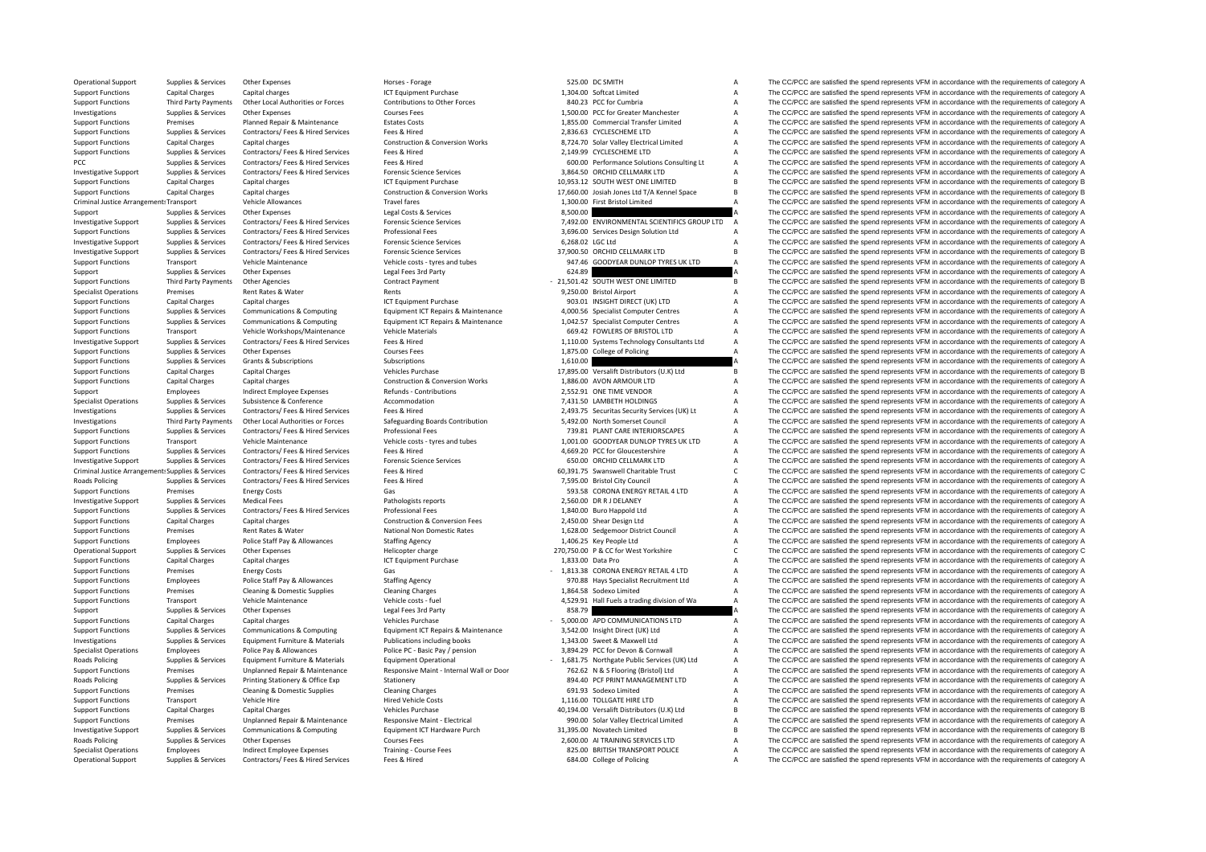Criminal JusticeCriminal Justice**Roads Policing Roads Policing Roads Policing Roads Policing** 

Operational Support Supplies & Services Other Expenses Horses Forage Horses Forage 525.00 DC SMITH A The CC/PCC are satisfied the spend represents VFM in accordance with the requirements of category A Support Functions Capital Charges Capital charges 1,304 CT Equipment Purchase 1,304.00 Softcat Limited A The CC/PCC are satisfied the spend represents VFM in accordance with the requirements of category A Support Functions Third Party Payments Other Local Authorities or Forces Contributions to Other Forces SAD.23 PCC for Cumbria A The CC/PCC are satisfied the spend represents VFM in accordance with the requirements of categ Investigations Supplies & Services Other Expenses Courses Fees Courses Courses Courses Courses Courses Courses Courses Courses Courses and the SUPPLE of COLOCO CONFORCLATE A The CC/PCC are satisfied the spend represents VF external Transfer Limited A The CC/PCC are satisfied Transfer Limited A The CC/PCC are satisfied the spend represents VFM in accordance with the requirements of category A Support Functions Supplies & Services Contractors/ Fees & Hired Services Fees & Hired Fees & Hired Pees & Hired 2,836.63 CYCLESCHEME LTD A The CC/PCC are satisfied the spend represents VFM in accordance with the requiremen Support Functions Capital Charges Capital charges Construction & Conversion Works 8,724.70 Solar Valley Electrical Limited A The CC/PCC are satisfied the spend represents VFM in accordance with the requirements of category Support Functions Supplies & Services Contractors/ Fees & Hired Services Fees & Hired Services Press & Hired 2,149.99 CYCLESCHEME LTD A The CC/PCC are satisfied the spend represents VFM in accordance with the requirements PCC Supplies & Services Contractors/ Fees & Hired Services Fees & Hired 600.00 Performance Solutions Consulting Lt A The CC/PCC are satisfied the spend represents VFM in accordance with the requirements of category A Investigative Support Supplies & Services Contractors/ Fees & Hired Services Forensic Science Services 3,864.50 ORCHID CELLMARK LTD <sup>A</sup> The CC/PCC are satisfied the spend represents VFM in accordance with the requirements of category A Support Functions Capital Charges Capital charges 10,953.12 SOUTH WEST ONE LIMITED B The CC/PCC are satisfied the spend represents VFM in accordance with the requirements of category B<br>Support Functions Capital Charges Cap Support Functions Canital Charges Canital charges Construction & Construction & Conversion Works 17 660.00 Insiah Iones Int TA Kennel Space R The CC/PCC are satisfied the spend represents VEM in accordance with the require Vehicle Allowances Travel fares Travel fares Travel fares 1,300.00 First Bristol Limited A The CC/PCC are satisfied the spend represents VFM in accordance with the requirements of category A China Companies and the require Support Supplies & Services Other Expenses Legal Costs & Services Bervices 8,500.00 A The CC/PCC are satisfied the spend represents VFM in accordance with the requirements of category A Decision of the Support Support Supp Investigative Support Supplies & Services Contractors/ Fees & Hired Services Forensic Science Services Forensic Science Services 7,492.00 ENVIRONMENTAL SCIENTIFICS GROUP LTD A The CC/PCC are satisfied the spend represents Support Functions Supplies & Services Contractors/ Fees & Hired Services Professional Fees Professional Fees Network Support Design Solution Ltd A The CC/PCC are satisfied the spend represents VFM in accordance with the re Investigative Support Supplies & Services Contractors/ Fees & Hired Services Forensic Science Services Forensic Science Services 6,268.02 LGC Ltd A The CC/PCC are satisfied the spend represents VFM in accordance with the r Investigative Support Supplies & Services Contractors/ Fees & Hired Services Forensic Science Services 37,900.50 ORCHID CELLMARK LTD <sup>B</sup> The CC/PCC are satisfied the spend represents VFM in accordance with the requirements of category B Support Functions Transport Vehicle Maintenance Vehicle Costs - tyres and tubes 947.46 GOODYEAR DUNLOP TYRES UK LTD A The CC/PCC are satisfied the spend represents VFM in accordance with the requirements of category A Support Supplies & Services Other Expenses Legal Fees 3rd Party 624.89 624.89 A The CC/PCC are satisfied the spend represents VFM in accordance with the requirements of category A Contract Party Contract Party Party 1990 C The CC/PCC are satisfied the spend represents VFM in accordance with the requirements of category B Specialist Operations Premises Rent Rates & Water Rents Rents Rents Rents Rents Rents Rents Rent Rent Rent Rent Rent A The CC/PCC are satisfied the spend represents VFM in accordance with the requirements of category A Support Functions Capital Charges Capital charges Capital charges Manual CT Equipment Purchase 903.01 INSIGHT DIRECT (UK) LTD A The CC/PCC are satisfied the spend represents VFM in accordance with the requirements of categ Support Functions Supplies & Services Communications & Computing Equipment ICT Repairs & Maintenance 4,000.56 Specialist Computer Centres A The CC/PCC are satisfied the spend represents VFM in accordance with the requireme A The CC/PCC are satisfied the spend represents VFM in accordance with the requirements of category A Support Functions Transport Vehicle Workshops/Maintenance Vehicle Materials 669.42 FOWLERS OF BRISTOL LTD A The CC/PCC are satisfied the spend represents VFM in accordance with the requirements of category A Investigative Support Support Support Supporters Services Contractors/ Fees & Hired Services Fees & Hired Fees & Hired Content Calegory A 110.00 Systems Technology Consultants Ltd A The CC/PCC are satisfied the spend repre Support Functions Supplies & Services Other Expenses Courses Fees Courses Fees 1,875.00 College of Policing A The CC/PCC are satisfied the spend represents VFM in accordance with the requirements of category A Support Func The CC/PCC are satisfied the spend represents VFM in accordance with the requirements of category A Support Functions Capital Charges Capital Charges Vehicles Purchase Vehicles Purchase 17,895.00 Versalift Distributors (U.K) Ltd B The CC/PCC are satisfied the spend represents VFM in accordance with the requirements of ca Support Functions Capital Charges Capital charges Capital charges Construction & Conversion Works 1,886.00 AVON ARMOUR LTD A The CC/PCC are satisfied the spend represents VFM in accordance with the requirements of category Support Employees Employees Indirect Employee Expenses Refunds - Contributions 2,552.91 ONE TIME VENDOR A The CC/PCC are satisfied the spend represents VFM in accordance with the requirements of category A Specialist Opera A The CC/PCC are satisfied the spend represents VFM in accordance with the requirements of category A Investigations Supplies & Services Contractors/ Fees & Hired Services Fees & Hired Here and Free Contribution<br>
Investigations Third Party Payments Other Local Authorities or Forces Safeguarding Boards Contribution 5,492.00 Third Party Payments Other Local Authorities or Forces Safeguarding Boards Contribution 5,492.00 North Somerset Council Manufacture A The CC/PCC are satisfied the spend represents VFM in accordance with the requirements of Support Functions Supplies & Services Contractors/ Fees & Hired Services Professional Fees Professional Fees And The COPCAPES A The CC/PCC are satisfied the spend represents VFM in accordance with the requirements of categ Support Functions Transport Vehicle Maintenance Vehicle Costs - tyres and tubes 1,001.00 GOODYEAR DUNLOP TYRES UK LTD A The CC/PCC are satisfied the spend represents VFM in accordance with the requirements of category A Su Supplies & Services Contractors/ Fees & Hired Fees & Hired Fees & Hired Fees & Hired Fees & Hired 4,669.20 PCC for Gloucestershire A The CC/PCC are satisfied the spend represents VFM in accordance with the requirements of Investigative Support Support Support Support Support Supporters Contractors/ Fees & Hired Services Forensic Science Services Forensic Science Services 650.00 ORCHID CELLMARK LTD A The CC/PCC are satisfied the spend repres Arrangements of category Contractors/ Fees & Hired Fees & Hired Services Fees & Hired Services Fees & Hired Services Fees & Hired Services Contractors/ Fees & Hired Services Fees & Hired 7.595.00 Bristol City Council Contr Policing Supplies & Services Contractors/ Fees & Hired Services Fees & Hired Services Fees & Hired Services Fees & Hired Services Fees & Hired Services The CO/PCC are satisfied the spend represents VFM in accordance with t Energy Costs Gas Gas Gas Gas Support Functions Category A Section Category A The CC/PCC are satisfied the spend represents VFM in accordance with the requirements of category A Support Category A Support of the CC/PCC are Investigative Support Supports Support Supporters Medical Fees Pathologists reports 2,560.00 DR R J DELANEY A The CC/PCC are satisfied the spend represents VFM in accordance with the requirements of category A Support Functions Supplies & Services Contractors/ Fees & Hired Services Professional Fees Professional Fees Professional Fees and the Satisfied Ltd A The CC/PCC are satisfied the spend represents VFM in accordance with th Support Functions Capital Charges Capital charges Capital charges Capital charges Construction & Conversion Fees 2,450.00 Shear Design Ltd A The CC/PCC are satisfied the spend represents VFM in accordance with the requirem Premises Rent Rates & Water Mational Non Domestic Rates 1,628.00 Sedgemoor District Council A The CC/PCC are satisfied the spend represents VFM in accordance with the requirements of category A Support Functions Employees Police Staff Pay & Allowances Staffing Agency Staffing Agency 1,406.25 Key People Ltd A The CC/PCC are satisfied the spend represents VFM in accordance with the requirements of category A Operational Support Supplies & Services Other Expenses Helicopter charge 270,750.00 P & CC for West Yorkshire C The CC/PCC are satisfied the spend represents VFM in accordance with the requirements of category C Interactio Support Functions Capital Charges Capital charges Capital charges ICT Equipment Purchase 1,833.00 Data Pro A The CC/PCC are satisfied the spend represents VFM in accordance with the requirements of category A Support Functions Premises Energy Costs Gas Gas Gas CORONA ENERGY RETAIL 4 LTD A The CC/PCC are satisfied the spend represents VFM in accordance with the requirements of category A Support Functions Employees Police Staff Pay & Allowances Staffing Agency Staffing Agency 970.88 Hays Specialist Recruitment Ltd A The CC/PCC are satisfied the spend represents VFM in accordance with the requirements of ca Support Functions Premises Cleaning & Domestic Supplies Cleaning Charges Cleaning Charges Cleaning Charges Cleaning Charges Cleaning Charges 1,864.58 Sodexo Limited A The CC/PCC are satisfied the spend represents VFM in ac Support Functions Transport Vehicle Maintenance Vehicle costs fuel 4,529.91 Hall Fuels atrading division of Wa A The CC/PCC are satisfied the spend represents VFM in accordance with the requirements of category A Vehicle a Support Supplies & Services Other Expenses Legal Fees 3rd Party and Beat and Barty 858.79 Burdeau and the CC/PCC are satisfied the spend represents VFM in accordance with the requirements of category A Support Functions Ca Support Functions Capital Charges Capital charges Capital charges Vehicles Purchase Vehicles Purchase 5,000.0 APD COMMUNICATIONS LTD A The CC/PCC are satisfied the spend represents VFM in accordance with the requirements o Suppliers & Suppliers & Services Communications & Computing Equipment ICT Repairs & Maintenance 3,542.00 Insight Direct (UK) Ltd A The CC/PCC are satisfied the spend represents VFM in accordance with the requirements of ca Investigations Curricles & Services Foundament Furniture & Materials Publications including hooks 1973 and Super Research of the COPC are estiglided by the condense of category A Specialist Operations Employees Police Pay & Allowances Police PC - Basic Pay / pension 3,894.29 PCC for Devon & Cornwall A The CC/PCC are satisfied the spend represents VFM in accordance with the requirements of category Supplies & Services Equipment Furniture & Materials Equipment Operational Equipment Operational Equipment Operational - 1,681.75 Northgate Public Services (UK) Ltd A The CC/PCC are satisfied the spend represents VFM in acc Support Functions Premises Unplanned Renair & Maintenance Responsive Maint - Internal Wall or Door 762.62 N & S Flooring (Rristol) Ltd A The CC/PCC are satisfied the spend represents VEM in accordance with the requirements Supplies & Services Printing Stationery & Office Exp Stationery Stationery Stationery Stationery 8094.40 PCF PRINT MANAGEMENT LTD A The CC/PCC are satisfied the spend represents VFM in accordance with the requirements of c Support Functions Premises Cleaning & Domestic Supplies Cleaning Charges Cleaning Charges Cleaning Charges Cleaning Charges Cleaning Charges 691.93 Sodexo Limited A The CC/PCC are satisfied the spend represents VFM in acco Support Functions Transport Vehicle Hire Many Hired Vehicle Costs Hired Vehicle Costs 1,116.00 TOLLGATE HIRE LTD A The CC/PCC are satisfied the spend represents VFM in accordance with the requirements of category A Vehicle Support Functions Capital Charges Capital Charges Vehicles Purchase 40,194.00 Versalift Distributors (U.K) Ltd B The CC/PCC are satisfied the spend represents VFM in accordance with the requirements of category B Support Functions Premises Premises Unplanned Repair & Maintenance Responsive Maint - Electrical microsoft and the spend inited a The CC/PCC are satisfied the spend represents VFM in accordance with the requirements of cat  $\frac{31,395.00}{2}$  Novatech Limited B<br>2.600.00 ALTRAINING SERVICES LTD CONFIDENT TO THE COUPCO are satisfied the spend represents VFM in accordance with the requirements of category B Policing Supplies & Services Other Expenses Courses Fees 2,600.00 AI TRAINING SERVICES LTD A The CC/PCC are satisfied the spend represents VFM in accordance with the requirements of category A Specialist Operations Employees Indirect Employee Expenses Training - Course Fees 825.00 BRITISH TRANSPORT POLICE A The CC/PCC are satisfied the spend represents VFM in accordance with the requirements of category A Operational Support Supplies & Services Contractors/ Fees & Hired Services Fees & Hired Fees & Hired 684.00 College of Policing A The CC/PCC are satisfied the spend represents VFM in accordance with the requirements of cat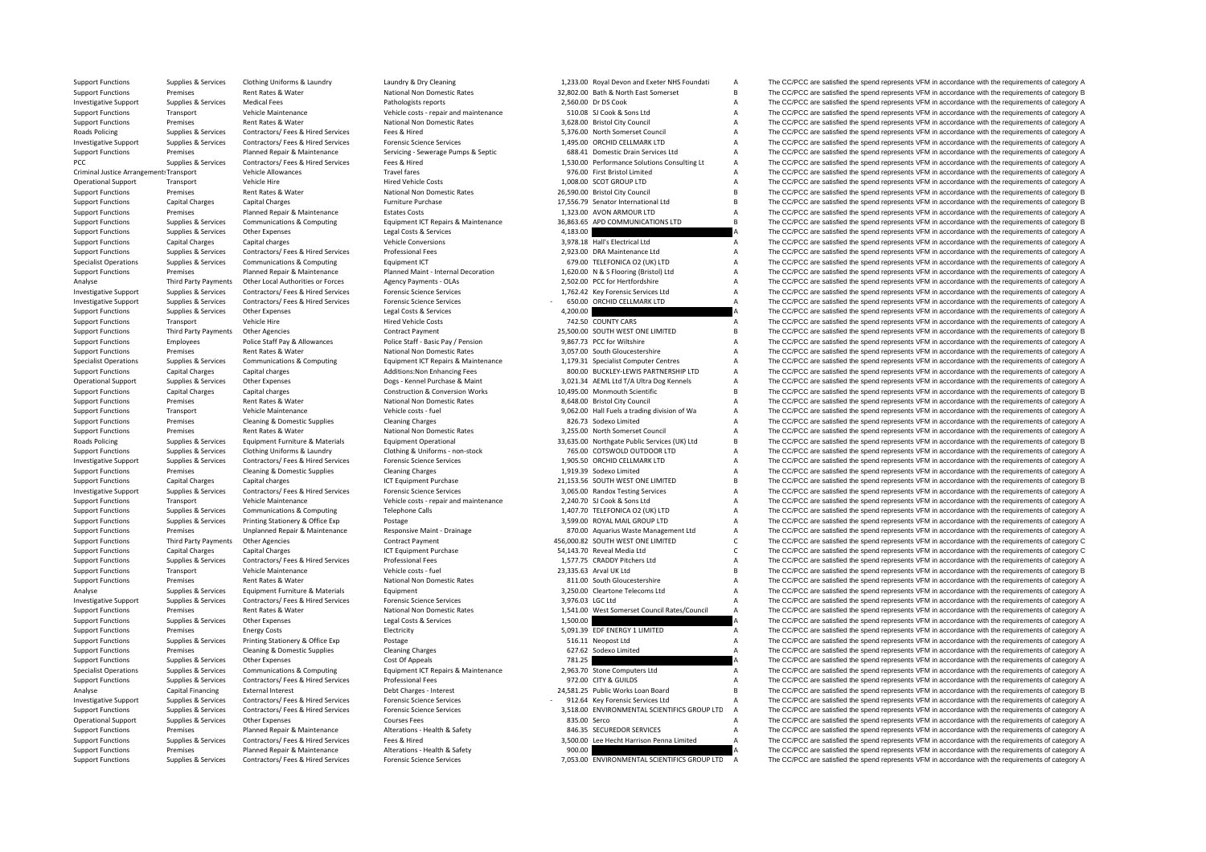| <b>Support Functions</b>                             | Supplies & Services             | Clothing Uniforms & Laundry             | Laundry & Dry Cleaning                     | 1,233.00 Royal Devon and Exeter NHS Foundati | A              | The CC/PCC are satisfied the spend represents VFM in accordance with the requirements of category A                                                                                                        |
|------------------------------------------------------|---------------------------------|-----------------------------------------|--------------------------------------------|----------------------------------------------|----------------|------------------------------------------------------------------------------------------------------------------------------------------------------------------------------------------------------------|
| <b>Support Functions</b>                             | Premises                        | Rent Rates & Water                      | National Non Domestic Rates                | 32,802.00 Bath & North East Somerset         | R              | The CC/PCC are satisfied the spend represents VFM in accordance with the requirements of category B                                                                                                        |
| <b>Investigative Support</b>                         | Supplies & Services             | <b>Medical Fees</b>                     | Pathologists reports                       | 2.560.00 Dr DS Cook                          | A              | The CC/PCC are satisfied the spend represents VFM in accordance with the requirements of category A                                                                                                        |
| <b>Support Functions</b>                             | Transport                       | Vehicle Maintenance                     | Vehicle costs - repair and maintenance     | 510.08 SJ Cook & Sons Ltd                    | A              | The CC/PCC are satisfied the spend represents VFM in accordance with the requirements of category A                                                                                                        |
| <b>Support Functions</b>                             | Premises                        | Rent Rates & Water                      | National Non Domestic Rates                | 3.628.00 Bristol City Council                | A              | The CC/PCC are satisfied the spend represents VFM in accordance with the requirements of category A                                                                                                        |
| <b>Roads Policing</b>                                | Supplies & Services             | Contractors/ Fees & Hired Services      | Fees & Hired                               | 5,376.00 North Somerset Council              | A              | The CC/PCC are satisfied the spend represents VFM in accordance with the requirements of category A                                                                                                        |
| <b>Investigative Support</b>                         | Supplies & Services             | Contractors/ Fees & Hired Services      | <b>Forensic Science Services</b>           | 1,495.00 ORCHID CELLMARK LTD                 | A              | The CC/PCC are satisfied the spend represents VFM in accordance with the requirements of category A                                                                                                        |
| <b>Support Functions</b>                             | Premises                        | Planned Repair & Maintenance            | Servicing - Sewerage Pumps & Septic        | 688.41 Domestic Drain Services Ltd           | A              | The CC/PCC are satisfied the spend represents VFM in accordance with the requirements of category A                                                                                                        |
| PCC                                                  | Supplies & Services             | Contractors/ Fees & Hired Services      | Fees & Hired                               | 1,530.00 Performance Solutions Consulting Lt | A              | The CC/PCC are satisfied the spend represents VFM in accordance with the requirements of category A                                                                                                        |
| Criminal Justice Arrangement: Transport              |                                 | Vehicle Allowances                      | <b>Travel fares</b>                        | 976.00 First Bristol Limited                 |                | The CC/PCC are satisfied the spend represents VFM in accordance with the requirements of category A                                                                                                        |
| <b>Operational Support</b>                           | Transport                       | Vehicle Hire                            | <b>Hired Vehicle Costs</b>                 | 1,008.00 SCOT GROUP LTD                      | A              | The CC/PCC are satisfied the spend represents VFM in accordance with the requirements of category A                                                                                                        |
| <b>Support Functions</b>                             | Premises                        | Rent Rates & Water                      | National Non Domestic Rates                | 26,590.00 Bristol City Council               | R              | The CC/PCC are satisfied the spend represents VFM in accordance with the requirements of category B                                                                                                        |
| <b>Support Functions</b>                             | <b>Capital Charges</b>          | <b>Capital Charges</b>                  | Furniture Purchase                         | 17,556.79 Senator International Ltd          |                | The CC/PCC are satisfied the spend represents VFM in accordance with the requirements of category B                                                                                                        |
| <b>Support Functions</b>                             | Premises                        | Planned Repair & Maintenance            | <b>Estates Costs</b>                       | 1,323.00 AVON ARMOUR LTD                     | A              | The CC/PCC are satisfied the spend represents VFM in accordance with the requirements of category A                                                                                                        |
| <b>Support Functions</b>                             | Supplies & Services             | Communications & Computing              | Equipment ICT Repairs & Maintenance        | 36,863.65 APD COMMUNICATIONS LTD             | B.             | The CC/PCC are satisfied the spend represents VFM in accordance with the requirements of category B                                                                                                        |
| <b>Support Functions</b>                             | Supplies & Services             | Other Expenses                          | Legal Costs & Services                     | 4,183.00                                     |                | The CC/PCC are satisfied the spend represents VFM in accordance with the requirements of category A                                                                                                        |
| <b>Support Functions</b>                             | <b>Capital Charges</b>          | Capital charges                         | <b>Vehicle Conversions</b>                 | 3.978.18 Hall's Electrical Ltd               | A              | The CC/PCC are satisfied the spend represents VFM in accordance with the requirements of category A                                                                                                        |
| <b>Support Functions</b>                             | Supplies & Services             | Contractors/ Fees & Hired Services      | <b>Professional Fees</b>                   | 2,923.00 DRA Maintenance Ltd                 | A              | The CC/PCC are satisfied the spend represents VFM in accordance with the requirements of category A                                                                                                        |
| <b>Specialist Operations</b>                         | Supplies & Services             | Communications & Computing              | Equipment ICT                              | 679.00 TELEFONICA O2 (UK) LTD                | A              | The CC/PCC are satisfied the spend represents VFM in accordance with the requirements of category A                                                                                                        |
| <b>Support Functions</b>                             | Premises                        | Planned Repair & Maintenance            | Planned Maint - Internal Decoration        | 1,620.00 N & S Flooring (Bristol) Ltd        | A              | The CC/PCC are satisfied the spend represents VFM in accordance with the requirements of category A                                                                                                        |
| Analyse                                              | Third Party Payments            | Other Local Authorities or Forces       | Agency Payments - OLAs                     | 2,502.00 PCC for Hertfordshire               | A              | The CC/PCC are satisfied the spend represents VFM in accordance with the requirements of category A                                                                                                        |
| <b>Investigative Support</b>                         | Supplies & Services             | Contractors/ Fees & Hired Services      | <b>Forensic Science Services</b>           | 1,762.42 Key Forensic Services Ltd           | A              | The CC/PCC are satisfied the spend represents VFM in accordance with the requirements of category A                                                                                                        |
| <b>Investigative Support</b>                         | Supplies & Services             | Contractors/ Fees & Hired Services      | <b>Forensic Science Services</b>           | 650.00 ORCHID CELLMARK LTD                   | $\overline{A}$ | The CC/PCC are satisfied the spend represents VFM in accordance with the requirements of category A                                                                                                        |
| <b>Support Functions</b>                             | Supplies & Services             | Other Expenses                          | Legal Costs & Services                     | 4,200.00                                     |                | The CC/PCC are satisfied the spend represents VFM in accordance with the requirements of category A                                                                                                        |
| <b>Support Functions</b>                             | Transport                       | Vehicle Hire                            | <b>Hired Vehicle Costs</b>                 | 742.50 COUNTY CARS                           | Δ              | The CC/PCC are satisfied the spend represents VFM in accordance with the requirements of category A                                                                                                        |
| <b>Support Functions</b>                             | Third Party Payments            | Other Agencies                          | <b>Contract Payment</b>                    | 25,500.00 SOUTH WEST ONE LIMITED             | R              | The CC/PCC are satisfied the spend represents VFM in accordance with the requirements of category B                                                                                                        |
| <b>Support Functions</b>                             | Employees                       | Police Staff Pay & Allowances           | Police Staff - Basic Pay / Pension         | 9,867.73 PCC for Wiltshire                   | A              | The CC/PCC are satisfied the spend represents VFM in accordance with the requirements of category A                                                                                                        |
| <b>Support Functions</b>                             | Premises                        | Rent Rates & Water                      | National Non Domestic Rates                | 3,057.00 South Gloucestershire               | A              | The CC/PCC are satisfied the spend represents VFM in accordance with the requirements of category A                                                                                                        |
| <b>Specialist Operations</b>                         | Supplies & Services             | Communications & Computing              | Equipment ICT Repairs & Maintenance        | 1,179.31 Specialist Computer Centres         | A              | The CC/PCC are satisfied the spend represents VFM in accordance with the requirements of category A                                                                                                        |
| <b>Support Functions</b>                             | <b>Capital Charges</b>          | Capital charges                         | Additions: Non Enhancing Fees              | 800.00 BUCKLEY-LEWIS PARTNERSHIP LTD         | A              | The CC/PCC are satisfied the spend represents VFM in accordance with the requirements of category A                                                                                                        |
| <b>Operational Support</b>                           | Supplies & Services             | Other Expenses                          | Dogs - Kennel Purchase & Maint             | 3,021.34 AEML Ltd T/A Ultra Dog Kennels      | A              | The CC/PCC are satisfied the spend represents VFM in accordance with the requirements of category A                                                                                                        |
| <b>Support Functions</b>                             | <b>Capital Charges</b>          | Capital charges                         | <b>Construction &amp; Conversion Works</b> | 10,495.00 Monmouth Scientific                | R              | The CC/PCC are satisfied the spend represents VFM in accordance with the requirements of category B                                                                                                        |
| <b>Support Functions</b>                             | Premises                        | Rent Rates & Water                      | National Non Domestic Rates                | 8,648.00 Bristol City Council                | A              | The CC/PCC are satisfied the spend represents VFM in accordance with the requirements of category A                                                                                                        |
| <b>Support Functions</b>                             | Transport                       | Vehicle Maintenance                     | Vehicle costs - fuel                       | 9,062.00 Hall Fuels a trading division of Wa | A              | The CC/PCC are satisfied the spend represents VFM in accordance with the requirements of category A                                                                                                        |
| <b>Support Functions</b>                             | Premises                        | Cleaning & Domestic Supplies            | <b>Cleaning Charges</b>                    | 826.73 Sodexo Limited                        |                | The CC/PCC are satisfied the spend represents VFM in accordance with the requirements of category A                                                                                                        |
| <b>Support Functions</b>                             | Premises                        | Rent Rates & Water                      | National Non Domestic Rates                | 3,255.00 North Somerset Council              |                | The CC/PCC are satisfied the spend represents VFM in accordance with the requirements of category A                                                                                                        |
| Roads Policing                                       | Supplies & Services             | Equipment Furniture & Materials         | <b>Equipment Operational</b>               | 33,635.00 Northgate Public Services (UK) Ltd | R              | The CC/PCC are satisfied the spend represents VFM in accordance with the requirements of category B                                                                                                        |
| <b>Support Functions</b>                             | Supplies & Services             | Clothing Uniforms & Laundry             | Clothing & Uniforms - non-stock            | 765.00 COTSWOLD OUTDOOR LTD                  | A              | The CC/PCC are satisfied the spend represents VFM in accordance with the requirements of category A                                                                                                        |
| <b>Investigative Support</b>                         | Supplies & Services             | Contractors/ Fees & Hired Services      | <b>Forensic Science Services</b>           | 1.905.50 ORCHID CELLMARK LTD                 | A              | The CC/PCC are satisfied the spend represents VFM in accordance with the requirements of category A                                                                                                        |
| <b>Support Functions</b>                             | Premises                        | <b>Cleaning &amp; Domestic Supplies</b> | <b>Cleaning Charges</b>                    | 1,919.39 Sodexo Limited                      | A              | The CC/PCC are satisfied the spend represents VFM in accordance with the requirements of category A                                                                                                        |
| <b>Support Functions</b>                             | <b>Capital Charges</b>          | Capital charges                         | ICT Equipment Purchase                     | 21,153.56 SOUTH WEST ONE LIMITED             | B              | The CC/PCC are satisfied the spend represents VFM in accordance with the requirements of category B                                                                                                        |
| <b>Investigative Support</b>                         | Supplies & Services             | Contractors/ Fees & Hired Services      | <b>Forensic Science Services</b>           | 3,065.00 Randox Testing Services             | A              | The CC/PCC are satisfied the spend represents VFM in accordance with the requirements of category A                                                                                                        |
| <b>Support Functions</b>                             | Transport                       | Vehicle Maintenance                     | Vehicle costs - repair and maintenance     | 2.240.70 SJ Cook & Sons Ltd                  | A              | The CC/PCC are satisfied the spend represents VFM in accordance with the requirements of category A                                                                                                        |
| <b>Support Functions</b>                             | Supplies & Services             | <b>Communications &amp; Computing</b>   | <b>Telephone Calls</b>                     | 1,407.70 TELEFONICA O2 (UK) LTD              | A              | The CC/PCC are satisfied the spend represents VFM in accordance with the requirements of category A                                                                                                        |
| <b>Support Functions</b>                             | Supplies & Services             | Printing Stationery & Office Exp        | Postage                                    | 3.599.00 ROYAL MAIL GROUP LTD                | A              | The CC/PCC are satisfied the spend represents VFM in accordance with the requirements of category A                                                                                                        |
| <b>Support Functions</b>                             | Premises                        | Unplanned Repair & Maintenance          | Responsive Maint - Drainage                | 870.00 Aquarius Waste Management Ltd         | A              | The CC/PCC are satisfied the spend represents VFM in accordance with the requirements of category A                                                                                                        |
| <b>Support Functions</b>                             | Third Party Payments            | Other Agencies                          | <b>Contract Payment</b>                    | 456,000.82 SOUTH WEST ONE LIMITED            |                | The CC/PCC are satisfied the spend represents VFM in accordance with the requirements of category C                                                                                                        |
| <b>Support Functions</b>                             | <b>Capital Charges</b>          | Capital Charges                         | ICT Equipment Purchase                     | 54,143.70 Reveal Media Ltd                   | Ċ.             | The CC/PCC are satisfied the spend represents VFM in accordance with the requirements of category C                                                                                                        |
| <b>Support Functions</b>                             | Supplies & Services             | Contractors/ Fees & Hired Services      | <b>Professional Fees</b>                   | 1,577.75 CRADDY Pitchers Ltd                 | A              | The CC/PCC are satisfied the spend represents VFM in accordance with the requirements of category A                                                                                                        |
| <b>Support Functions</b>                             | Transport                       | Vehicle Maintenance                     | Vehicle costs - fuel                       | 23,335.63 Arval UK Ltd                       | B              | The CC/PCC are satisfied the spend represents VFM in accordance with the requirements of category B                                                                                                        |
| <b>Support Functions</b>                             | Premises                        | <b>Rent Rates &amp; Water</b>           | National Non Domestic Rates                | 811.00 South Gloucestershire                 | A              | The CC/PCC are satisfied the spend represents VFM in accordance with the requirements of category A                                                                                                        |
| Analyse                                              | Supplies & Services             | Equipment Furniture & Materials         | Equipment                                  | 3,250.00 Cleartone Telecoms Ltd              | A              | The CC/PCC are satisfied the spend represents VFM in accordance with the requirements of category A                                                                                                        |
|                                                      |                                 | Contractors/ Fees & Hired Services      | <b>Forensic Science Services</b>           | 3.976.03 LGC Ltd                             |                |                                                                                                                                                                                                            |
| <b>Investigative Support</b>                         | Supplies & Services             | Rent Rates & Water                      | National Non Domestic Rates                |                                              | $\Delta$       | The CC/PCC are satisfied the spend represents VFM in accordance with the requirements of category A                                                                                                        |
| <b>Support Functions</b>                             | Premises                        |                                         |                                            | 1,541.00 West Somerset Council Rates/Council |                | The CC/PCC are satisfied the spend represents VFM in accordance with the requirements of category A                                                                                                        |
| <b>Support Functions</b><br><b>Support Functions</b> | Supplies & Services<br>Premises | Other Expenses                          | Legal Costs & Services<br>Electricity      | 1,500.00<br>5,091.39 EDF ENERGY 1 LIMITED    | A              | The CC/PCC are satisfied the spend represents VFM in accordance with the requirements of category A<br>The CC/PCC are satisfied the spend represents VFM in accordance with the requirements of category A |
|                                                      |                                 | <b>Energy Costs</b>                     |                                            |                                              |                |                                                                                                                                                                                                            |
| <b>Support Functions</b>                             | Supplies & Services             | Printing Stationery & Office Exp        | Postage                                    | 516.11 Neopost Ltd                           | A              | The CC/PCC are satisfied the spend represents VFM in accordance with the requirements of category A                                                                                                        |
| <b>Support Functions</b>                             | Premises                        | <b>Cleaning &amp; Domestic Supplies</b> | <b>Cleaning Charges</b>                    | 627.62 Sodexo Limited                        |                | The CC/PCC are satisfied the spend represents VFM in accordance with the requirements of category A                                                                                                        |
| <b>Support Functions</b>                             | Supplies & Services             | Other Expenses                          | Cost Of Appeals                            | 781.25                                       |                | The CC/PCC are satisfied the spend represents VFM in accordance with the requirements of category A                                                                                                        |
| <b>Specialist Operations</b>                         | Supplies & Services             | Communications & Computing              | Equipment ICT Repairs & Maintenance        | 2,963.70 Stone Computers Ltd                 |                | The CC/PCC are satisfied the spend represents VFM in accordance with the requirements of category A                                                                                                        |
| <b>Support Functions</b>                             | Supplies & Services             | Contractors/ Fees & Hired Services      | <b>Professional Fees</b>                   | 972.00 CITY & GUILDS                         | A              | The CC/PCC are satisfied the spend represents VFM in accordance with the requirements of category A                                                                                                        |
| Analyse                                              | Capital Financing               | <b>External Interest</b>                | Debt Charges - Interest                    | 24,581.25 Public Works Loan Board            | B              | The CC/PCC are satisfied the spend represents VFM in accordance with the requirements of category B                                                                                                        |
| <b>Investigative Support</b>                         | Supplies & Services             | Contractors/ Fees & Hired Services      | <b>Forensic Science Services</b>           | 912.64 Key Forensic Services Ltd             |                | The CC/PCC are satisfied the spend represents VFM in accordance with the requirements of category A                                                                                                        |
| <b>Support Functions</b>                             | Supplies & Services             | Contractors/ Fees & Hired Services      | <b>Forensic Science Services</b>           | 3,518.00 ENVIRONMENTAL SCIENTIFICS GROUP LTD |                | The CC/PCC are satisfied the spend represents VFM in accordance with the requirements of category A                                                                                                        |
| <b>Operational Support</b>                           | Supplies & Services             | Other Expenses                          | <b>Courses Fees</b>                        | 835.00 Serco                                 |                | The CC/PCC are satisfied the spend represents VFM in accordance with the requirements of category A                                                                                                        |
| <b>Support Functions</b>                             | Premises                        | Planned Repair & Maintenance            | Alterations - Health & Safety              | 846.35 SECUREDOR SERVICES                    |                | The CC/PCC are satisfied the spend represents VFM in accordance with the requirements of category A                                                                                                        |
| <b>Support Functions</b>                             | Supplies & Services             | Contractors/ Fees & Hired Services      | Fees & Hired                               | 3,500.00 Lee Hecht Harrison Penna Limited    | $\overline{A}$ | The CC/PCC are satisfied the spend represents VFM in accordance with the requirements of category A                                                                                                        |
| <b>Support Functions</b>                             | Premises                        | Planned Repair & Maintenance            | Alterations - Health & Safety              | 900.00                                       |                | The CC/PCC are satisfied the spend represents VFM in accordance with the requirements of category A                                                                                                        |
|                                                      |                                 | $ 1 -  0  1$                            |                                            | 0.000                                        |                | $-4 - 3$ density $-$                                                                                                                                                                                       |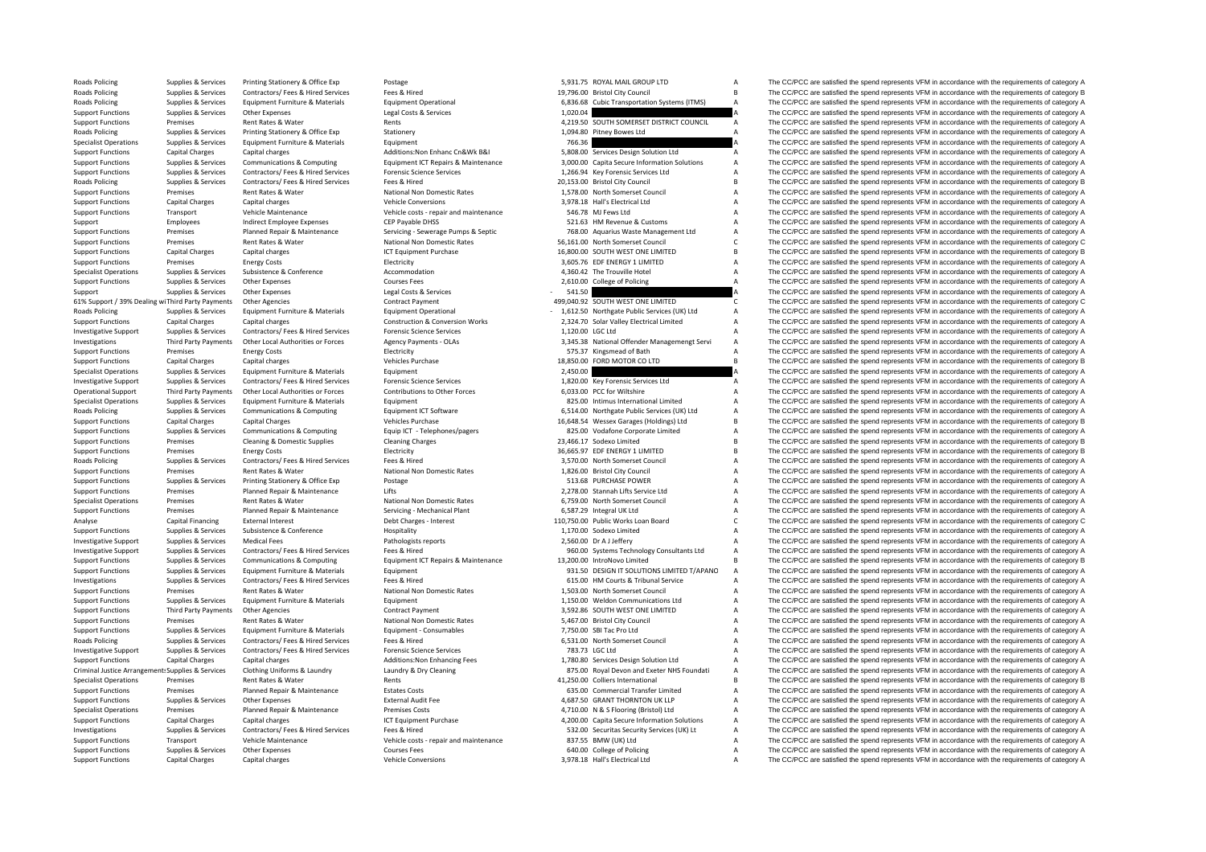Roads**Roads Policing** Roads Policing **Roads Policing Roads Policing** 61% Support / 39% Dealing wiThird Party Payments **Roads Policing Roads Policing** Roads Policing **Roads Policing** Criminal Justice

|                  | 5,931.75 ROYAL MAIL GROUP LTD                | А              |
|------------------|----------------------------------------------|----------------|
|                  | 19,796.00 Bristol City Council               | B              |
|                  |                                              |                |
| 6,836.68         | <b>Cubic Transportation Systems (ITMS)</b>   | А              |
| 1,020.04         |                                              | A              |
|                  | 4,219.50 SOUTH SOMERSET DISTRICT COUNCIL     | А              |
|                  | 1,094.80 Pitney Bowes Ltd                    | A              |
| 766.36           |                                              | $\overline{A}$ |
|                  | 5,808.00 Services Design Solution Ltd        | A              |
|                  | 3,000.00 Capita Secure Information Solutions | A              |
|                  | 1,266.94 Key Forensic Services Ltd           | A              |
|                  | 20,153.00 Bristol City Council               | B              |
|                  | 1.578.00 North Somerset Council              | A              |
|                  | 3,978.18 Hall's Electrical Ltd               | A              |
|                  | 546.78 MJ Fews Ltd                           | A              |
|                  | 521.63 HM Revenue & Customs                  | A              |
|                  | 768.00 Aquarius Waste Management Ltd         | A              |
|                  | 56,161.00 North Somerset Council             | C              |
|                  | 16,800.00 SOUTH WEST ONE LIMITED             | B              |
|                  | 3,605.76 EDF ENERGY 1 LIMITED                | А              |
|                  | 4,360.42 The Trouville Hotel                 | A              |
|                  | 2,610.00 College of Policing                 | A              |
| 541.50           |                                              | A              |
|                  | 499,040.92 SOUTH WEST ONE LIMITED            | Ċ              |
|                  | 1,612.50 Northgate Public Services (UK) Ltd  | A              |
|                  |                                              | A              |
|                  | 2,324.70 Solar Valley Electrical Limited     | A              |
| 1,120.00 LGC Ltd |                                              | A              |
|                  | 3,345.38 National Offender Managemengt Servi |                |
|                  | 575.37 Kingsmead of Bath                     | A              |
|                  | 18,850.00 FORD MOTOR CO LTD                  | B              |
| 2,450.00         |                                              | А              |
|                  | 1,820.00 Key Forensic Services Ltd           | A              |
|                  | 6,033.00 PCC for Wiltshire                   | A              |
|                  | 825.00 Intimus International Limited         | A              |
|                  | 6,514.00 Northgate Public Services (UK) Ltd  | A              |
|                  | 16,648.54 Wessex Garages (Holdings) Ltd      | B              |
|                  | 825.00 Vodafone Corporate Limited            | A              |
|                  | 23,466.17 Sodexo Limited                     | B              |
|                  | 36,665.97 EDF ENERGY 1 LIMITED               | B              |
|                  | 3,570.00 North Somerset Council              | А              |
|                  | 1,826.00 Bristol City Council                | A              |
|                  | 513.68 PURCHASE POWER                        | А              |
|                  | 2,278.00 Stannah Lifts Service Ltd           | A              |
|                  | 6,759.00 North Somerset Council              | A              |
|                  | 6,587.29 Integral UK Ltd                     | A              |
|                  | 110,750.00 Public Works Loan Board           | Ċ              |
|                  | 1,170.00 Sodexo Limited                      | A              |
|                  | 2,560.00 Dr A J Jeffery                      | A              |
|                  | 960.00 Systems Technology Consultants Ltd    | A              |
|                  | 13,200.00 IntroNovo Limited                  | B              |
|                  | 931.50 DESIGN IT SOLUTIONS LIMITED T/APANO   | A              |
|                  | 615.00 HM Courts & Tribunal Service          | A              |
|                  | 1,503.00 North Somerset Council              | A              |
|                  | 1,150.00 Weldon Communications Ltd           | A              |
|                  | 3,592.86 SOUTH WEST ONE LIMITED              | A              |
|                  | 5,467.00 Bristol City Council                | A              |
|                  | 7,750.00 SBI Tac Pro Ltd                     | A              |
|                  | 6,531.00 North Somerset Council              | A              |
|                  |                                              | A              |
|                  | 783.73 LGC Ltd                               | A              |
|                  | 1,780.80 Services Design Solution Ltd        |                |
|                  | 875.00 Royal Devon and Exeter NHS Foundati   | А<br>B         |
|                  | 41,250.00 Colliers International             |                |
|                  | 635.00 Commercial Transfer Limited           | А              |
|                  | 4,687.50 GRANT THORNTON UK LLP               | A              |
|                  | 4,710.00 N & S Flooring (Bristol) Ltd        | A              |
|                  | 4,200.00 Capita Secure Information Solutions | A              |
|                  | 532.00 Securitas Security Services (UK) Lt   | A              |
|                  | 837.55 BMW (UK) Ltd                          | A              |
|                  | 640.00 College of Policing                   | A              |
|                  |                                              |                |

Supplies & Services Printing Stationery & Office Exp Postage Printing Postage Printing Stategory A Services 5,931.75 ROYAL MAIL GROUP LTD A The CC/PCC are satisfied the spend represents VFM in accordance with the requireme Supplies & Services Contractors/ Fees & Hired Services Fees & Hired Services Fees & Hired 19,796.00 Bristol City Council B The CC/PCC are satisfied the spend represents VFM in accordance with the requirements of category B Supplies & Services Equipment Furniture & Materials Equipment Operational 6,836.68 Cubic Transportation Systems (ITMS) A The CC/PCC are satisfied the spend represents VFM in accordance with the requirements of category A Support Functions Supplies & Services Other Expenses Legal Costs & Services Legal Costs Conces Legal Costs & Services 1,020.04 A The CC/PCC are satisfied the spend represents VFM in accordance with the requirements of cate examples and the rent Rents Rents Rents Rents Rents Rents A, 219.50 SOUTH SOMERSET DISTRICT COUNCIL A The CC/PCC are satisfied the spend represents VFM in accordance with the requirements of category A Policing Supplies & Services Printing Stationery & Office Exp Stationery Stationery Stationery 1,094.80 Pitney Bowes Ltd A The CC/PCC are satisfied the spend represents VFM in accordance with the requirements of category A Supplies & Services Equipment Europeant Equipment Properties Equipment 766.36 766.36 A The CC/PCC are satisfied the spend represents VFM in accordance with the requirements of category A The CC/PCC are satisfied the spend Support Functions Capital Charges Capital charges Additions:Non Enhanc Cn&Wk B&I 5,808.00 Services Design Solution Ltd A The CC/PCC are satisfied the spend represents VFM in accordance with the requirements of category A Support Functions Supplies & Services Communications & Computing Equipment ICT Repairs & Maintenance 3,000,00 Capita Secure Information Solutions A The CC/PCC are satisfied the spend represents VFM in accordance with the r Support Functions Supplies & Services Contractors/ Fees & Hired Services Forensic Science Services . Forensic Science Services . The COPOC are satisfied the spend represents VFM in accordance with the requirements of categ Popplies & Services Contractors/ Fees & Hired Services Fees & Hired Present Hired Departic Patence Present Category B 20,153.00 Bristol City Council B The CC/PCC are satisfied the spend represents VFM in accordance with th Support Functions Premises Rent Rates & Water National Non Domestic Rates 1,578.00 North Somerset Council A The CC/PCC are satisfied the spend represents VFM in accordance with the requirements of category A Support Functions Capital Charges Capital charges Capital charges Vehicle Conversions Vehicle Conversions 3,978.18 Hall's Electrical Ltd A The CC/PCC are satisfied the spend represents VFM in accordance with the requiremen Support Functions Transport Vehicle Maintenance Vehicle costs repair and maintenance 546.78 MJ Fews Ltd A The CC/PCC are satisfied the spend represents VFM in accordance with the requirements of category A Support Employees Indirect Employee Expenses CEP Payable DHSS 521.63 HM Revenue & Customs A The CC/PCC are satisfied the spend represents VFM in accordance with the requirements of category A Support Functions Premises Planned Repair & Maintenance Servicing - Serverage Pumps & Septic 768.00 Aquarius Waste Management Ltd A The CC/PCC are satisfied the spend represents VFM in accordance with the requirements of c Support Functions Premises Rent Rates Rent Rates National Non Domestic Rates 56,161.00 North Somerset Council C The CC/PCC are satisfied the spend represents VFM in accordance with the requirements of category C Support Functions Capital Charges Capital charges Capital charges 16,800.00 SOUTH WEST ONE LIMITED B The CC/PCC are satisfied the spend represents VFM in accordance with the requirements of category B Support Functions Premises Energy Costs Electricity Electricity 3,605.76 EDF ENERGY 1 LIMITED A The CC/PCC are satisfied the spend represents VFM in accordance with the requirements of category A Specialist Operations Supplies & Services Subsistence Subsistence Accommodation Accommodation 4,360.42 The Trouville Hotel A The CC/PCC are satisfied the spend represents VFM in accordance with the requirements of category The CC/PCC are satisfied the spend represents VFM in accordance with the requirements of category A Support Supplies & Services Other Expenses Support Support Services 541.5 a SALLSO A The CC/PCC are satisfied the spend represents VFM in accordance with the requirements of category A Other Agencies Contract Payment Contract Payment 499,040.92 SOUTH WEST ONE LIMITED C The CC/PCC are satisfied the spend represents VFM in accordance with the requirements of category C Roads Policing Supplies & Services Equipment Furniture & Materials Equipment Operational Equipment Operational<br>
Support Functions Capital Charges Capital charges Capital charges Construction & Construction & Conversion Wor Support Functions Construction & Conversion Works Capital Charges Construction & Conversion Works 2,324.70 Solar Valley Electrical Limited A The CC/PCC are satisfied the spend represents VFM in accordance with the requirem Investigative Support Support Supporters Contractors/ Fees & Hired Services Forensic Science Services 1,120.00 LGC Ltd A The CC/PCC are satisfied the spend represents VFM in accordance with the requirements of category A Investigations Third Party Payments Other Local Authorities or Forces Agency Payments - OLAs 3.345.38 National Offender Management Servi A The CC/PCC are satisfied the spend represents VFM in accordance with the requiremen Support Functions Premises Energy Costs Energy Costs Electricity Electricity Electricity Electricity Electricity 575.37 Kingsmead of Bath A The CC/PCC are satisfied the spend represents VFM in accordance with the requireme The CC/PCC are satisfied the spend represents VFM in accordance with the requirements of category B Specialist Operations Supplies & Services Equipment Furniture & Materials Equipment Equipment Equipment Equipment Equipment 2,450.00 A The CC/PCC are satisfied the spend represents VFM in accordance with the requirements o Investigative Support Support Support Supporters Contractors/ Fees & Hired Services Forensic Science Services contents of category A 1.820.00 Key Forensic Services Ltd A The CC/PCC are satisfied the spend represents VFM in Operational Support Third Party Payments Other Local Authorities or Forces Contributions to Other Forces 6033.00 PCC for Wiltshire 603.00 PCC for Wiltshire Music and The CC/PCC are satisfied the spend represents VFM in acc The CC/PCC are satisfied the spend represents VFM in accordance with the requirements of category A Policing Supplies & Services Communications & Computing Equipment ICT Software 6,514.00 Northgate Public Services (UK) Ltd A The CC/PCC are satisfied the spend represents VFM in accordance with the requirements of category Support Functions Capital Charges Capital Charges Capital Charges Vehicles Purchase 16,648.54 Wessex Garages (Holdings) Ltd B The CC/PCC are satisfied the spend represents VFM in accordance with the requirements of categor Support Functions Supplies & Services Communications & Computing Equip ICT - Telephones/pagers 825.00 Vodafone Corporate Limited A The CC/PCC are satisfied the spend represents VFM in accordance with the requirements of ca Support Functions Premises Cleaning & Domestic Supplies Cleaning Charges Cleaning Charges Cleaning Charges Cleaning Charges Cleaning Charges Cleaning Charges Cleaning Charges Cleaning Charges 23,466.17 Sodexo Limited B The Energy Costs Energy Costs Electricity Electricity Electricity Electricity Electricity Electricity Electricity Electricity and the spend represents VFM in accordance with the requirements of category B States and the Spend Policing Supplies Supplies Supplies Supplies A Service Contractors Contractors Contractors A The CC/PCC are satisfied the spend represents VFM in accordance with the requirements of category A Support Functions Premises Rent Rates & Water National Non Domestic Rates 1,826.00 Bristol City Council A The CC/PCC are satisfied the spend represents VFM in accordance with the requirements of category A Support Functions Supplies & Services Printing Stationery & Office Exp Postage Printing Stationery and Postage Postage State Common States and States and States and The CC/PCC are satisfied the spend represents VFM in acco Support Functions Premises Planned Repair & Maintenance Lifts Lifts 2,278.00 Stannah Lifts Service Ltd A The CC/PCC are satisfied the spend represents VFM in accordance with the requirements of category A Service Ltd Servi Premises Rent Rates Rent Rates National Non Domestic Rates 6,759.00 North Somerset Council A The CC/PCC are satisfied the spend represents VFM in accordance with the requirements of category A Support Functions Premises Planned Repair & Maintenance Servicing • Mechanical Plant 6,587.29 Integral UK Ltd A The CC/PCC are satisfied the spend represents VFM in accordance with the requirements of category A Debt Chang Analyse Capital Financing External Interest Debt Charges - Interest Debt Charges - Interest 110,750.00 Public Works Loan Board C The CC/PCC are satisfied the spend represents VFM in accordance with the requirements of cate The CC/PCC are satisfied the spend represents VFM in accordance with the requirements of category A Investigative Support Supplies & Services Medical Fees 2,756 Pathologists reports 2,560.00 Dr A J Leffery A The CC/PCC are satisfied the spend represents VFM in accordance with the requirements of category A Investigative Support Supplies & Services Contractors/ Fees & Hired Services Fees & Hired Services Fees & Hired Services Fees & Hired Pervices Fees & Hired 960.00 Systems Technology Consultants Ltd A The CC/PCC are satisfi Support Functions Supplies & Services Communications & Communications & Communications & Communications & Communications Faultoment CT Bensire & Maintenance 13 20000 Introducul imited R The CC/PCC are catisfied the spend r Support Functions Supplies & Services Equipment Furniture & Materials Equipment Equipment 931.50 DESIGN IT SOLUTIONS LIMITED T/APANO A The CC/PCC are satisfied the spend represents VFM in accordance with the requirements o Investigations Supplies & Services Contractors/ Fees & Hired Services Fees & Hired Services Fees & Hired Services Fees & Hired Mational Non Domestic Rates Service A The CC/PCC are satisfied the spend represents VFM in acco Premises Rent Rates & Water National Non Domestic Rates 1,503.00 North Somerset Council A The CC/PCC are satisfied the spend represents VFM in accordance with the requirements of category A<br>Support of the spend represents Support Functions Supplies & Services Equipment Functions Functions of Communications 1,150.00 Weldon Communications Ltd A The CC/PCC are satisfied the spend represents VFM in accordance with the requirements of category A Support Functions Third Party Payments Other Agencies Contract Payment Contract Payment 3,592.86 SOUTH WEST ONE LIMITED A The CC/PCC are satisfied the spend represents VFM in accordance with the requirements of category A Support Functions Premises Rent Rates & Water National Non Domestic Rates 5,467.00 Bristol City Council A The CC/PCC are satisfied the spend represents VFM in accordance with the requirements of category A Support Function Support Functions Supplies & Services Equipment Furniture & Materials Equipment - Consumables Equipment - Consumables 7,750.00 SBI Tac Pro Ltd A The CC/PCC are satisfied the spend represents VFM in accordance with the requ Policing Supplies & Services Contractors/ Fees & Hired Services Fees & Hired 6,531.00 North Somerset Council <sup>A</sup> The CC/PCC are satisfied the spend represents VFM in accordance with the requirements of category A Investigative Support Supplies & Services Contractors/ Fees & Hired Services Forensic Science Services Forensic Science Services 783.73 LGC Ltd A The CC/PCC are satisfied the spend represents VFM in accordance with the req Support Functions Capital Charges Capital charges Capital charges Additions:Non Enhancing Fees 1,780.80 Services Design Solution Ltd A The CC/PCC are satisfied the spend represents VFM in accordance with the requirements o The CC/PCC are satisfied the spend represents VFM in accordance with the requirements of category A Specialist Operations Premises Rent Rates & Water Rents Rents Rents Rents Rents Rents And Dent Rents And Dent Rent Rents And Dent Rents And Dent Rents And Dent Rent Rent Rent Rent Rents And Dent Rent Rent Rent Rent Rent Re Support Functions Premises Planned Repair & Maintenance Estates Costs Estates Costs 635.00 Commercial Transfer Limited A The CC/PCC are satisfied the spend represents VFM in accordance with the requirements of category A S Support Functions Supplies & Services Other Expenses External Audit Fee 4,687.50 GRANT THORNTON UK LLP A The CC/PCC are satisfied the spend represents VFM in accordance with the requirements of category A<br>Specialist Operat Specialist Operations Premises Planned Repair & Maintenance Premises Costs 4,710.00 N & S Flooring (Bristol) Ltd A The CC/PCC are satisfied the spend represents VFM in accordance with the requirements of category A Support Functions Capital Charges Capital charges Capital charges A ACT Equipment Purchase 4,200.00 Capita Secure Information Solutions A The CC/PCC are satisfied the spend represents VFM in accordance with the requirement The CC/PCC are satisfied the spend represents VFM in accordance with the requirements of category A Support Functions Transport Vehicle Maintenance Vehicle costs ‐ repair and maintenance 837.55 BMW (UK) Ltd A The CC/PCC are satisfied the spend represents VFM in accordance with the requirements of category A Support Functions Supplies & Services Other Expenses Courses Fees 640.00 College of Policing A The CC/PCC are satisfied the spend represents VFM in accordance with the requirements of category A Support Functions Capital Charges Capital charges Vehicle Conversions Vehicle Conversions 3,978.18 Hall's Electrical Ltd A The CC/PCC are satisfied the spend represents VFM in accordance with the requirements of category A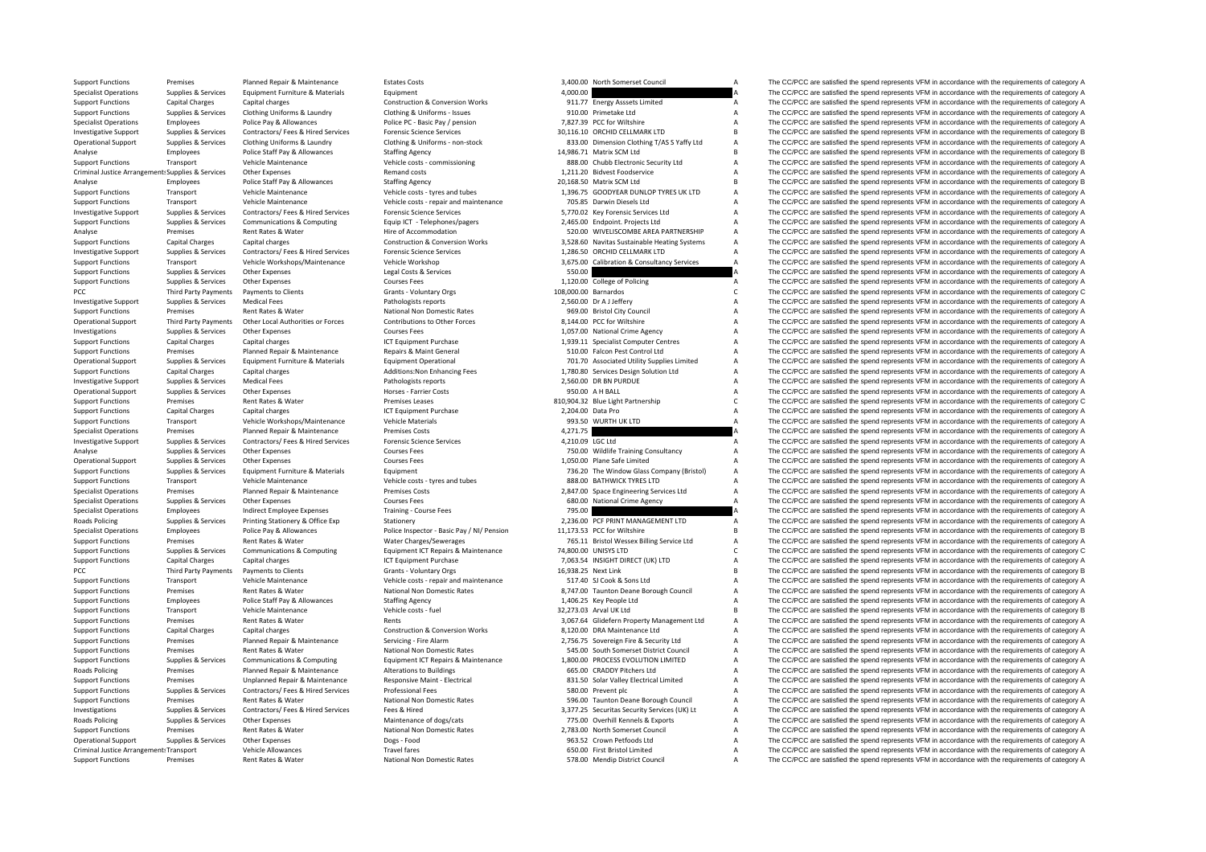Criminal Justice**PCC** Third Party Payments **Roads Policing** PCC Third Party Payments **Roads Policing Roads Policing** Criminal Justice

Support Functions Premises Planned Repair & Maintenance Estates Costs 3,400.00 North Somerset Council A The CC/PCC are satisfied the spend represents VFM in accordance with the requirements of category A Specialist Operations Supplies & Services Equipment Furniture & Materials Equipment 4,000.00 4,000.00 A The CC/PCC are satisfied the spend represents VFM in accordance with the requirements of category A Support Functions Capital Charges Capital charges Capital charges Construction & Conversion Works 911.77 Energy Asssets Limited A The CC/PCC are satisfied the spend represents VFM in accordance with the requirements of cat Support Functions Supplies & Services Clothing Uniforms & Laundry Clothing & Uniforms – Issues 910.00 Primetake Ltd A The CC/PCC are satisfied the spend represents VFM in accordance with the requirements of category A Seci Employees Police Pay & Allowances Police PC – Basic Pay / pension 7,827.39 PCC for Wiltshire A The CC/PCC are satisfied the spend represents VFM in accordance with the requirements of category A Investigative Support Supplies & Services Contractors/ Fees & Hired Services Forensic Science Services Forensic Science Services 30,116.10 ORCHID CELLMARK LTD B The CC/PCC are satisfied the spend represents VFM in accordan Operational Support Supplies & Services Clothing Uniforms & Laundry Clothing & Uniforms - non-stock and a material content and the CC/PCC are satisfied the spend represents VFM in accordance with the requirements of catego Analyse Employees Police Staff Pay & Allowances Staffing Agency Staff Pay Agency 14,986.71 Matrix SCM Ltd B The CC/PCC are satisfied the spend represents VFM in accordance with the requirements of category B Support Functions Transport Vehicle Maintenance Vehicle Costs - commissioning 888.00 Chubb Electronic Security Ltd A The CC/PCC are satisfied the spend represents VFM in accordance with the requirements of category A Other Expenses expenses and costs and costs and costs and the Service of the CC/PCC are satisfied the spend represents VFM in accordance with the requirements of category A The CC/PCC are satisfied the spend represents VFM Analyse Employees Police Staff Pay & Allowances Staffing Agency 20,168.50 Matrix SCM Ltd B The CC/PCC are satisfied the spend represents VFM in accordance with the requirements of category B Vobicle Analyse View Matrix Com Support Functions Transport Vehicle Maintenance Vehicle costs tyres and tubes 1,396.75 GOODYEAR DUNLOP TYRES UK LTD A The CC/PCC are satisfied the spend represents VFM in accordance with the requirements of category A Support Functions Transport Vehicle Maintenance Vehicle Costs - repair and maintenance 705.85 Darwin Diesels Ltd A The CC/PCC are satisfied the spend represents VFM in accordance with the requirements of category A Investigative Support Supplies & Services Contractors/ Fees & Hired Services Forensic Science Services Contensic Science Services Contensic Science Services (5,770.02 Key Forensic Services Ltd A The CC/PCC are satisfied th Support Functions Supplies & Services Communications & Computing Equip ICT - Telephones/pagers 2,465.00 Endpoint. Projects Ltd A The CC/PCC are satisfied the spend represents VFM in accordance with the requirements of cate Analyse Premises Rent Rates & Water Hire of Accommodation Hire of Accommodation 520.00 WIVELISCOMBE AREA PARTNERSHIP A The CC/PCC are satisfied the spend represents VFM in accordance with the requirements of category A Support Functions Capital Charges Capital charges Capital charges Capital charges Capital charges Capital charges Construction & Construction & Construction & Construction & Construction & Construction & Construction & Con 1.<br>
Investigative Support Supplies & Services Contractors/ Fees & Hired Services Forensic Science Services – 1.286.50 ORCHID CELLMARK LTD A The CC/PCC are satisfied the spend represents VFM in accordance with the requireme Support Functions Transport Vehicle Workshops/Maintenance Vehicle Workshop 3,675.00 Calibration & Consultancy Services A The CC/PCC are satisfied the spend represents VFM in accordance with the requirements of category A Support Functions Supplies & Services Other Expenses Legal Costs & Services Support Courses Courses Legal Costs & Services 550.00 Support Functions A The CC/PCC are satisfied the spend represents VFM in accordance with the The CC/PCC are satisfied the spend represents VFM in accordance with the requirements of category A Payments to Clients Clients Clients Crants - Voluntary Orgs 108,000.00 Barnardos 108,000.00 Barnardos C The CC/PCC are satisfied the spend represents VFM in accordance with the requirements of category C<br>Medical Fees Crant Investigative Support Supplies & Services Medical Fees Pathologists reports Pathologists reports 2,560.00 Dr A Jeffery A The CC/PCC are satisfied the spend represents VFM in accordance with the requirements of category A S Support Functions Premises Rent Rates Rent Rates Rent Rates National Non Domestic Rates 969.00 Bristol City Council A The CC/PCC are satisfied the spend represents VFM in accordance with the requirements of category A Decr A The CC/PCC are satisfied the spend represents VFM in accordance with the requirements of category A Investigations Supplies & Services Other Expenses Courses Fees Courses Fees 1,057.00 National Crime Agency A The CC/PCC are satisfied the spend represents VFM in accordance with the requirements of category A Support Functions Capital Charges Capital charges Capital charges 1,939.11 Specialist Computer Centres A The CC/PCC are satisfied the spend represents VFM in accordance with the requirements of category A Support Functions Premises Planned Repair & Maintenance Repairs & Maint General Repairs & Maint General Support Falcon Pest Control Ltd A The CC/PCC are satisfied the spend represents VFM in accordance with the requirement The CC/PCC are satisfied the spend represents VFM in accordance with the requirements of category A Support Functions Capital Charges Capital charges Additions:Non Enhancing Fees 1,780.80 Services Design Solution Ltd A The CC/PCC are satisfied the spend represents VFM in accordance with the requirements of category A Dir Investigative Support Support Supporters Medical Fees Pathologists reports Pathologists reports 2,560.00 DR BN PURDUE A The CC/PCC are satisfied the spend represents VFM in accordance with the requirements of category A Operational Support Supplies & Services Other Expenses expenses Horses Farrier Costs and Morses Farrier Costs 950.00 A H BALL A The CC/PCC are satisfied the spend represents VFM in accordance with the requirements of categ C The CC/PCC are satisfied the spend represents VFM in accordance with the requirements of category C Support Functions Capital Charges Capital charges Capital charges Capital charges ICT Equipment Purchase 2,204.00 Data Pro A The CC/PCC are satisfied the spend represents VFM in accordance with the requirements of category Support Functions Transport Vehicle Workshops/Maintenance Vehicle Materials 993.50 WURTH UK LTD A The CC/PCC are satisfied the spend represents VFM in accordance with the requirements of category A Specialist Operations Premises Planned Repair & Maintenance Premises Costs 4,271.75 A The CC/PCC are satisfied the spend represents VFM in accordance with the requirements of category A Investigative Support Supplies & Services Contractors/ Fees & Hired Services Forensic Science Services Forensic Science Services 4,210.09 LGC Ltd A The CC/PCC are satisfied the spend represents VFM in accordance with the r Analyse Supplies & Services Other Expenses Courses Fees Courses Fees 750.00 Wildlife Training Consultancy A The CC/PCC are satisfied the spend represents VFM in accordance with the requirements of category A Courses Course Operational Support Supplies & Services Other Expenses Courses Fees 1,050.00 Plane Safe Limited A The CC/PCC are satisfied the spend represents VFM in accordance with the requirements of category A Support Functions Supplies & Services Equipment Furniture & Materials Equipment Equipment Equipment Equipment Equipment Purniture & Materials Equipment Purniture and tubes and tubes and tubes ass.00 BATHWICK TYRES LTD A Th Support Functions Transport Vehicle Maintenance Vehicle Costs - tyres and tubes 888.00 BATHWICK TYRES LTD A The CC/PCC are satisfied the spend represents VFM in accordance with the requirements of category A Specialist Ope Premises Planned Repair & Maintenance Premises Costs Premises Costs 2,847.00 Space Engineering Services Ltd A The CC/PCC are satisfied the spend represents VFM in accordance with the requirements of category A San Articula Specialist Operations Supplies & Services Other Expenses Courses Fees Courses Fees 680.00 National Crime Agency A The CC/PCC are satisfied the spend represents VFM in accordance with the requirements of category A Speciali Specialist Operations Employees Indirect Employee Expenses Training - Course Fees 795.00 795.00 795.00 A The CC/PCC are satisfied the spend represents VFM in accordance with the requirements of category A<br>Roads Policing Su Roads Policing Supplies & Services Printing Stationery & Office Exp Stationery Stationery Stationery 2,236.00 PCF PRINT MANAGEMENT LTD A The CC/PCC are satisfied the spend represents VFM in accordance with the requirements Employees Police Pay & Allowances Police Inspector - Basic Pay / NI/ Pension 11,173.53 PCC for Wiltshire B The CC/PCC are satisfied the spend represents VFM in accordance with the requirements of category B<br>Premises Rent R Support Functions Premises Rent Rates & Water Water Charges/Sewerages 765.11 Bristol Wessex Billing Service Ltd A The CC/PCC are satisfied the spend represents VFM in accordance with the requirements of category A Support Functions Supplies & Services Communications & Computing Equipment ICT Repairs & Maintenance 74,800.00 UNISYS LTD C The CC/PCC are satisfied the spend represents VFM in accordance with the requirements of category Support Functions Capital Charges Capital charges Capital charges ICT Equipment Purchase 7,063.54 INSIGHT DIRECT (UK) LTD A The CC/PCC are satisfied the spend represents VFM in accordance with the requirements of category Payments to Clients Grants - Voluntary Orgs 16,938.25 Next Link B The CC/PCC are satisfied the spend represents VFM in accordance with the requirements of category B Support Functions Transport Vehicle Maintenance Vehicle Costs - repair and maintenance 517.40 SJ Cook & Sons Ltd A The CC/PCC are satisfied the spend represents VFM in accordance with the requirements of category A Support Functions Premises Rent Rates Rent Rates National Non Domestic Rates 8,747.00 Taunton Deane Borough Council A The CC/PCC are satisfied the spend represents VFM in accordance with the requirements of category A Supp Support Functions Standing Contrast Police Staff Pay & Allowances Staffing Agency 1,406.25 Key People Ltd A The CC/PCC are satisfied the spend represents VFM in accordance with the requirements of category A Support Functions Transport Vehicle Maintenance Vehicle Costs - fuel Vehicle costs - fuel 32,273.03 Arval UK Ltd B The CC/PCC are satisfied the spend represents VFM in accordance with the requirements of category B Support Functions Premises Rent Rates & Water Mater Rents Rents Rents Rents 3,067.64 Glidefern Property Management Ltd A The CC/PCC are satisfied the spend represents VFM in accordance with the requirements of category A C Support Functions Capital Charges Capital charges Construction & Conversion Works 8,120.00 DRA Maintenance Ltd A The CC/PCC are satisfied the spend represents VFM in accordance with the requirements of category A Support F Support Functions Premises Planned Repair & Maintenance Servicing Fire Alarm 2,756.75 Sovereign Fire & Security Ltd A The CC/PCC are satisfied the spend represents VFM in accordance with the requirements of category A Support Functions Premises Rent Rates Rent Rates Rent Rates National Non Domestic Rates 545.00 South Somerset District Council A The CC/PCC are satisfied the spend represents VFM in accordance with the requirements of cate Support Functions Supplies & Services Communications & Computing Equipment ICT Repairs & Maintenance 1,800.00 PROCESS EVOLUTION LIMITED A The CC/PCC are satisfied the spend represents VFM in accordance with the requirement Premises Planned Repair & Maintenance Alterations to Buildings 665.00 CRADDY Pitchers Ltd A The CC/PCC are satisfied the spend represents VFM in accordance with the requirements of category A Support Functions Premises Unplanned Repair & Maintenance Responsive Maint - Electrical Maint - Bestrical Maint - Electrical Maint - Electrical Maint - Bestrical Maint - Bestrical Maint - Bestrical Maint - Bestrical Maint Support Functions Supplies & Services Contractors/ Fees & Hired Services Professional Fees 580.00 Prevent plc 580.00 Prevent plc A The CC/PCC are satisfied the spend represents VFM in accordance with the requirements of ca Support Functions Premises Rent Rates Rent Rates Rent Rates National Non Domestic Rates 596.00 Taunton Deane Borough Council A The CC/PCC are satisfied the spend represents VFM in accordance with the requirements of catego Supplier & Services Contractors/ Fees & Hired Services Fees & Hired 3377.25 Securitas Services (UK) Lt A The CC/PCC are satisfied the spend represents VEM in accordance with the requirements of category A Policing Supplies & Services Other Expenses Maintenance of dogs/cats 775.00 Overhill Kennels & Exports A The CC/PCC are satisfied the spend represents VFM in accordance with the requirements of category A Support Functions Premises Rent Rates Rent Rates Rent Rates National Non Domestic Rates 2,783.00 North Somerset Council A The CC/PCC are satisfied the spend represents VFM in accordance with the requirements of category A<br>Support Services O Operational Support Supplies & Services Other Expenses 2008 - Productional Dogs - Food 963.52 Crown Petfoods Ltd A The CC/PCC are satisfied the spend represents VFM in accordance with the requirements of category A Vehicle Allowances Travel fares Travel fares and the Section A The CC/PCC are satisfied the spend represents VFM in accordance with the requirements of category A The CC/PCC are satisfied the spend represents VFM in accord Support Functions Premises Rent Rates & Water National Non Domestic Rates 578.00 Mendip District Council A The CC/PCC are satisfied the spend represents VFM in accordance with the requirements of category A